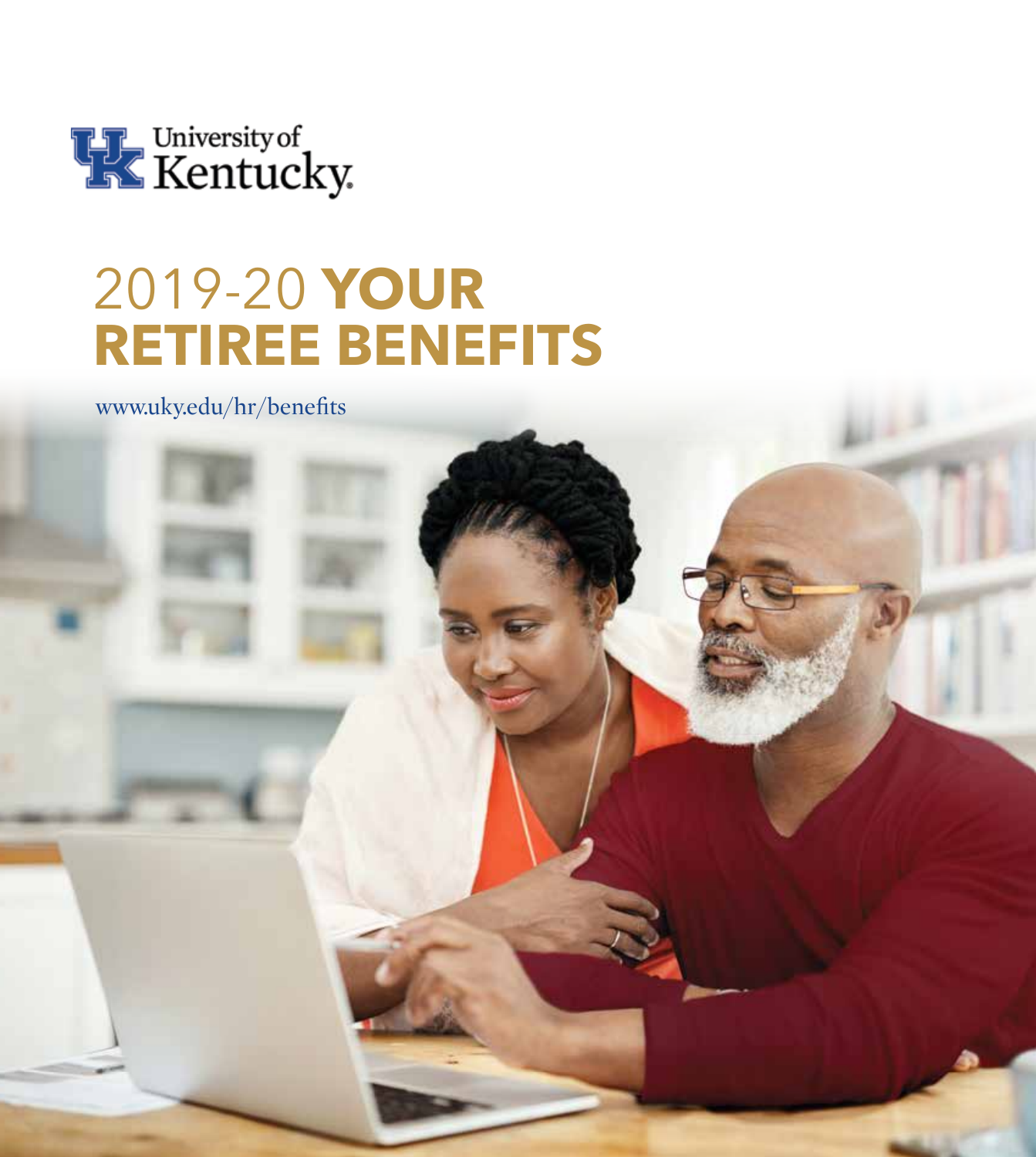

# 2019-20 **YOUR RETIREE BENEFITS**

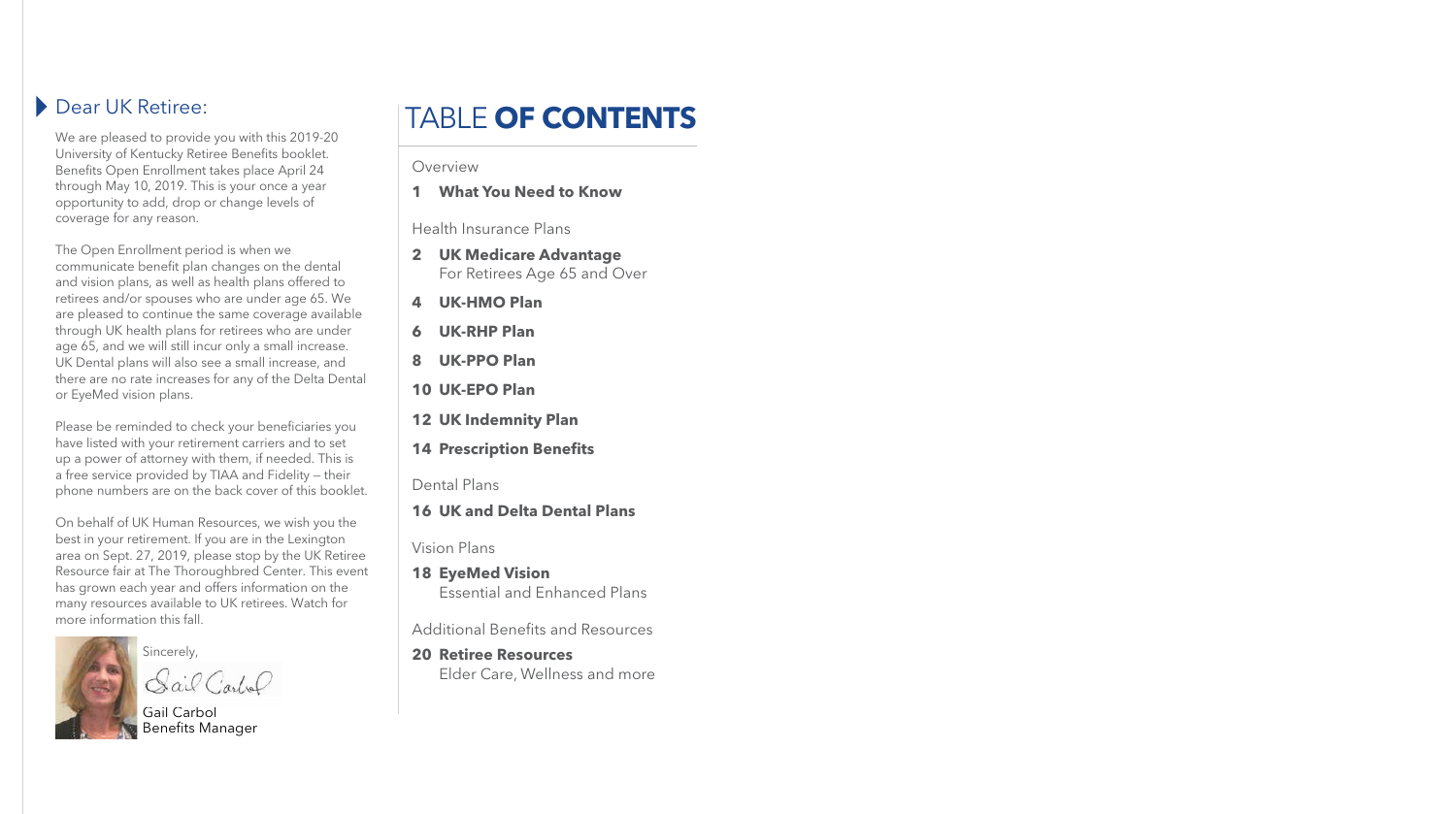# Dear UK Retiree:

We are pleased to provide you with this 2019-20 University of Kentucky Retiree Benefits booklet. Benefits Open Enrollment takes place April 24 through May 10, 2019. This is your once a year opportunity to add, drop or change levels of coverage for any reason.

The Open Enrollment period is when we communicate benefit plan changes on the dental and vision plans, as well as health plans offered to retirees and/or spouses who are under age 65. We are pleased to continue the same coverage available through UK health plans for retirees who are under age 65, and we will still incur only a small increase. UK Dental plans will also see a small increase, and there are no rate increases for any of the Delta Dental or EyeMed vision plans.

Please be reminded to check your beneficiaries you have listed with your retirement carriers and to set up a power of attorney with them, if needed. This is a free service provided by TIAA and Fidelity — their phone numbers are on the back cover of this booklet.

On behalf of UK Human Resources, we wish you the best in your retirement. If you are in the Lexington area on Sept. 27, 2019, please stop by the UK Retiree Resource fair at The Thoroughbred Center. This event has grown each year and offers information on the many resources available to UK retirees. Watch for more information this fall.



Sincerely,

Gail Carlo

#### Overview

**1 What You Need to Know**

Health Insurance Plans

- **2 UK Medicare Advantage** For Retirees Age 65 and Over
- **4 UK-HMO Plan**
- **6 UK-RHP Plan**
- **8 UK-PPO Plan**
- **10 UK-EPO Plan**
- **12 UK Indemnity Plan**
- **14 Prescription Benefits**
- Dental Plans
- **16 UK and Delta Dental Plans**

Vision Plans

**18 EyeMed Vision** Essential and Enhanced Plans

Additional Benefits and Resources

**20 Retiree Resources** Elder Care, Wellness and more

Gail Carbol Benefits Manager

# TABLE **OF CONTENTS**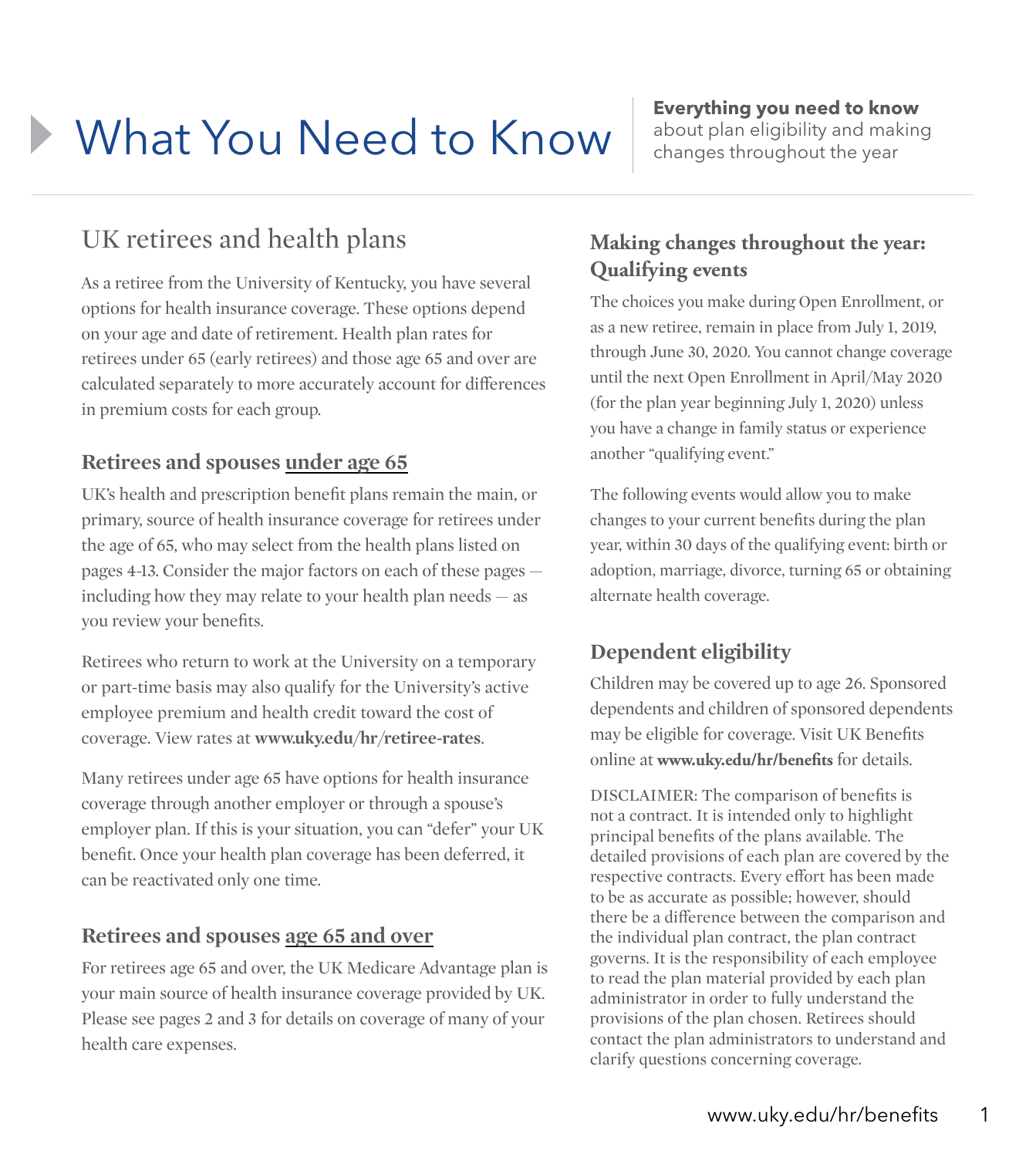# **What You Need to Know Everything you need to know Everything you need to know Examples throughout the vear**

UK retirees and health plans

As a retiree from the University of Kentucky, you have several options for health insurance coverage. These options depend on your age and date of retirement. Health plan rates for retirees under 65 (early retirees) and those age 65 and over are calculated separately to more accurately account for differences in premium costs for each group.

#### **Retirees and spouses under age 65**

UK's health and prescription benefit plans remain the main, or primary, source of health insurance coverage for retirees under the age of 65, who may select from the health plans listed on pages 4-13. Consider the major factors on each of these pages including how they may relate to your health plan needs — as you review your benefits.

Retirees who return to work at the University on a temporary or part-time basis may also qualify for the University's active employee premium and health credit toward the cost of coverage. View rates at **www.uky.edu/hr/retiree-rates**.

Many retirees under age 65 have options for health insurance coverage through another employer or through a spouse's employer plan. If this is your situation, you can "defer" your UK benefit. Once your health plan coverage has been deferred, it can be reactivated only one time.

#### **Retirees and spouses age 65 and over**

For retirees age 65 and over, the UK Medicare Advantage plan is your main source of health insurance coverage provided by UK. Please see pages 2 and 3 for details on coverage of many of your health care expenses.

# about plan eligibility and making changes throughout the year

#### **Making changes throughout the year: Qualifying events**

The choices you make during Open Enrollment, or as a new retiree, remain in place from July 1, 2019, through June 30, 2020. You cannot change coverage until the next Open Enrollment in April/May 2020 (for the plan year beginning July 1, 2020) unless you have a change in family status or experience another "qualifying event."

The following events would allow you to make changes to your current benefits during the plan year, within 30 days of the qualifying event: birth or adoption, marriage, divorce, turning 65 or obtaining alternate health coverage.

#### **Dependent eligibility**

Children may be covered up to age 26. Sponsored dependents and children of sponsored dependents may be eligible for coverage. Visit UK Benefits online at **www.uky.edu/hr/benefits** for details.

DISCLAIMER: The comparison of benefits is not a contract. It is intended only to highlight principal benefits of the plans available. The detailed provisions of each plan are covered by the respective contracts. Every effort has been made to be as accurate as possible; however, should there be a difference between the comparison and the individual plan contract, the plan contract governs. It is the responsibility of each employee to read the plan material provided by each plan administrator in order to fully understand the provisions of the plan chosen. Retirees should contact the plan administrators to understand and clarify questions concerning coverage.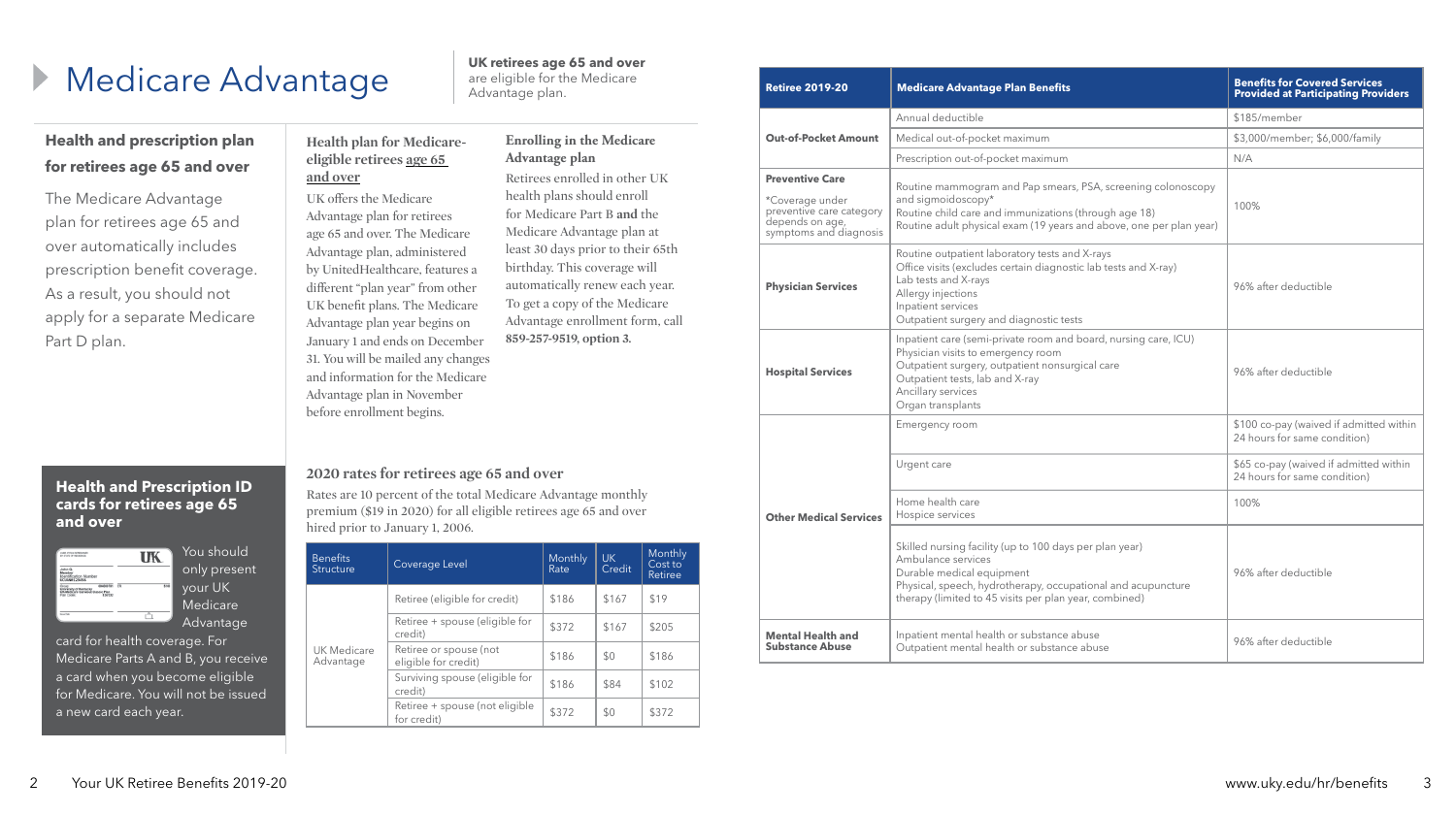| <b>Retiree 2019-20</b>                                                                                                                                                                                                                                             | <b>Medicare Advantage Plan Benefits</b>                                                                                                                                                                                              | <b>Benefits for Covered Services</b><br><b>Provided at Participating Providers</b> |  |
|--------------------------------------------------------------------------------------------------------------------------------------------------------------------------------------------------------------------------------------------------------------------|--------------------------------------------------------------------------------------------------------------------------------------------------------------------------------------------------------------------------------------|------------------------------------------------------------------------------------|--|
|                                                                                                                                                                                                                                                                    | Annual deductible                                                                                                                                                                                                                    | \$185/member                                                                       |  |
| <b>Out-of-Pocket Amount</b>                                                                                                                                                                                                                                        | Medical out-of-pocket maximum                                                                                                                                                                                                        | \$3,000/member; \$6,000/family                                                     |  |
|                                                                                                                                                                                                                                                                    | Prescription out-of-pocket maximum                                                                                                                                                                                                   | N/A                                                                                |  |
| <b>Preventive Care</b><br>*Coverage under<br>preventive care category<br>depends on age,<br>symptoms and diagnosis                                                                                                                                                 | Routine mammogram and Pap smears, PSA, screening colonoscopy<br>and sigmoidoscopy*<br>Routine child care and immunizations (through age 18)<br>Routine adult physical exam (19 years and above, one per plan year)                   |                                                                                    |  |
| Routine outpatient laboratory tests and X-rays<br>Office visits (excludes certain diagnostic lab tests and X-ray)<br>Lab tests and X-rays<br><b>Physician Services</b><br>Allergy injections<br>Inpatient services<br>Outpatient surgery and diagnostic tests      |                                                                                                                                                                                                                                      | 96% after deductible                                                               |  |
| Inpatient care (semi-private room and board, nursing care, ICU)<br>Physician visits to emergency room<br>Outpatient surgery, outpatient nonsurgical care<br><b>Hospital Services</b><br>Outpatient tests, lab and X-ray<br>Ancillary services<br>Organ transplants |                                                                                                                                                                                                                                      | 96% after deductible                                                               |  |
|                                                                                                                                                                                                                                                                    | Emergency room                                                                                                                                                                                                                       | \$100 co-pay (waived if admitted within<br>24 hours for same condition)            |  |
|                                                                                                                                                                                                                                                                    | Urgent care                                                                                                                                                                                                                          | \$65 co-pay (waived if admitted within<br>24 hours for same condition)             |  |
| <b>Other Medical Services</b>                                                                                                                                                                                                                                      | Home health care<br>Hospice services                                                                                                                                                                                                 | 100%                                                                               |  |
|                                                                                                                                                                                                                                                                    | Skilled nursing facility (up to 100 days per plan year)<br>Ambulance services<br>Durable medical equipment<br>Physical, speech, hydrotherapy, occupational and acupuncture<br>therapy (limited to 45 visits per plan year, combined) | 96% after deductible                                                               |  |
| Inpatient mental health or substance abuse<br><b>Mental Health and</b><br><b>Substance Abuse</b><br>Outpatient mental health or substance abuse                                                                                                                    |                                                                                                                                                                                                                                      | 96% after deductible                                                               |  |

### **2020 rates for retirees age 65 and over**

Rates are 10 percent of the total Medicare Advantage monthly premium (\$19 in 2020) for all eligible retirees age 65 and over hired prior to January 1, 2006.

# **Medicare Advantage UK retirees age 65 and over**

# **Health and prescription plan for retirees age 65 and over**

The Medicare Advantage plan for retirees age 65 and over automatically includes prescription benefit coverage. As a result, you should not apply for a separate Medicare Part D plan.

are eligible for the Medicare

Advantage plan.

| <b>Benefits</b><br>Structure | Coverage Level                                 | Monthly<br>Rate | UK.<br>Credit | Monthly<br>Cost to<br>Retiree |
|------------------------------|------------------------------------------------|-----------------|---------------|-------------------------------|
|                              | Retiree (eligible for credit)                  | \$186           | \$167         | \$19                          |
| UK Medicare<br>Advantage     | Retiree + spouse (eligible for<br>credit)      | \$372           | \$167         | \$205                         |
|                              | Retiree or spouse (not<br>eligible for credit) | \$186           | \$0           | \$186                         |
|                              | Surviving spouse (eligible for<br>credit)      | \$186           | \$84          | \$102                         |
|                              | Retiree + spouse (not eligible<br>for credit)  | \$372           | \$0           | \$372                         |

#### **Health plan for Medicareeligible retirees age 65 and over**

UK offers the Medicare Advantage plan for retirees age 65 and over. The Medicare Advantage plan, administered by UnitedHealthcare, features a different "plan year" from other UK benefit plans. The Medicare Advantage plan year begins on January 1 and ends on December 31. You will be mailed any changes and information for the Medicare Advantage plan in November before enrollment begins.

#### **Enrolling in the Medicare Advantage plan**

Retirees enrolled in other UK health plans should enroll for Medicare Part B **and** the Medicare Advantage plan at least 30 days prior to their 65th birthday. This coverage will automatically renew each year. To get a copy of the Medicare Advantage enrollment form, call **859-257-9519, option 3.**

### **Health and Prescription ID cards for retirees age 65 and over**

| CARD STOCK DETERMINED<br>BY STATE OF RESIDENCE                                                     |    |
|----------------------------------------------------------------------------------------------------|----|
| John Q.<br>Member<br><b>Identification Number</b><br>UCLIAN0123456                                 |    |
| 084000701<br>University of Kentucky<br>UK-Medicare Carveoul Classic Plan<br>834/332<br>Plan Codes: | En |
| <b>South Color</b>                                                                                 |    |

You should only present your UK **Medicare** Advantage

Ber<br>Stru

card for health coverage. For Medicare Parts A and B, you receive a card when you become eligible for Medicare. You will not be issued a new card each year.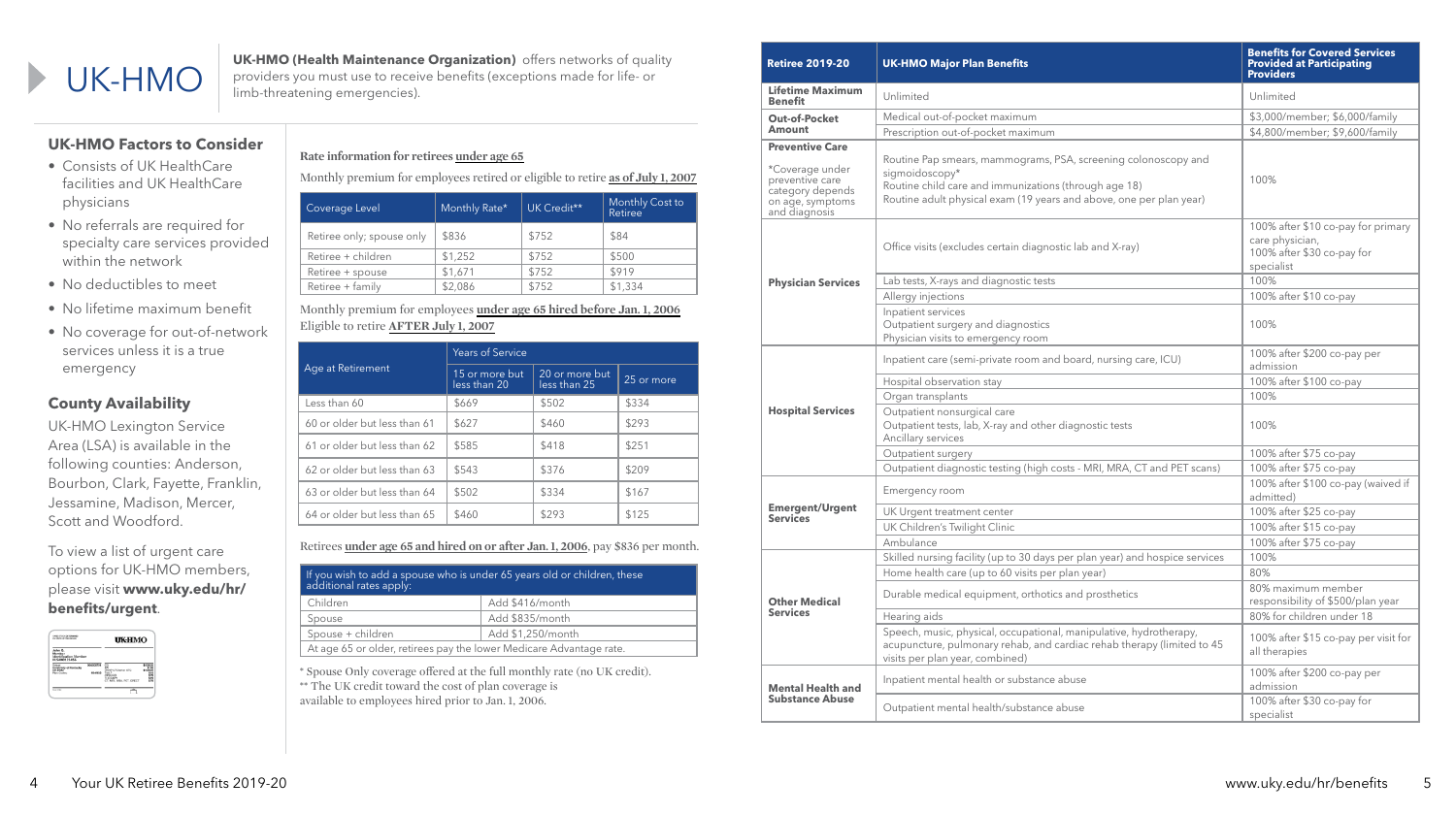$\blacktriangleright$ 

| <b>Retiree 2019-20</b>                                                                                                | <b>UK-HMO Major Plan Benefits</b>                                                                                                                                                                                | <b>Benefits for Covered Services</b><br><b>Provided at Participating</b><br><b>Providers</b>      |
|-----------------------------------------------------------------------------------------------------------------------|------------------------------------------------------------------------------------------------------------------------------------------------------------------------------------------------------------------|---------------------------------------------------------------------------------------------------|
| <b>Lifetime Maximum</b><br><b>Benefit</b>                                                                             | Unlimited                                                                                                                                                                                                        | Unlimited                                                                                         |
| <b>Out-of-Pocket</b>                                                                                                  | Medical out-of-pocket maximum                                                                                                                                                                                    | \$3,000/member; \$6,000/family                                                                    |
| <b>Amount</b>                                                                                                         | Prescription out-of-pocket maximum                                                                                                                                                                               | \$4,800/member; \$9,600/family                                                                    |
| <b>Preventive Care</b><br>*Coverage under<br>preventive care<br>category depends<br>on age, symptoms<br>and diagnosis | Routine Pap smears, mammograms, PSA, screening colonoscopy and<br>sigmoidoscopy*<br>Routine child care and immunizations (through age 18)<br>Routine adult physical exam (19 years and above, one per plan year) | 100%                                                                                              |
|                                                                                                                       | Office visits (excludes certain diagnostic lab and X-ray)                                                                                                                                                        | 100% after \$10 co-pay for primary<br>care physician,<br>100% after \$30 co-pay for<br>specialist |
| <b>Physician Services</b>                                                                                             | Lab tests, X-rays and diagnostic tests                                                                                                                                                                           | 100%                                                                                              |
|                                                                                                                       | Allergy injections                                                                                                                                                                                               | 100% after \$10 co-pay                                                                            |
|                                                                                                                       | Inpatient services<br>Outpatient surgery and diagnostics<br>Physician visits to emergency room                                                                                                                   | 100%                                                                                              |
|                                                                                                                       | Inpatient care (semi-private room and board, nursing care, ICU)                                                                                                                                                  | 100% after \$200 co-pay per<br>admission                                                          |
|                                                                                                                       | Hospital observation stay                                                                                                                                                                                        | 100% after \$100 co-pay                                                                           |
|                                                                                                                       | Organ transplants                                                                                                                                                                                                | 100%                                                                                              |
| <b>Hospital Services</b>                                                                                              | Outpatient nonsurgical care<br>Outpatient tests, lab, X-ray and other diagnostic tests<br>Ancillary services                                                                                                     | 100%                                                                                              |
|                                                                                                                       | Outpatient surgery                                                                                                                                                                                               | 100% after \$75 co-pay                                                                            |
|                                                                                                                       | Outpatient diagnostic testing (high costs - MRI, MRA, CT and PET scans)                                                                                                                                          | 100% after \$75 co-pay                                                                            |
|                                                                                                                       | Emergency room                                                                                                                                                                                                   | 100% after \$100 co-pay (waived if<br>admitted)                                                   |
| <b>Emergent/Urgent</b>                                                                                                | UK Urgent treatment center                                                                                                                                                                                       | 100% after \$25 co-pay                                                                            |
| <b>Services</b>                                                                                                       | UK Children's Twilight Clinic                                                                                                                                                                                    | 100% after \$15 co-pay                                                                            |
|                                                                                                                       | Ambulance                                                                                                                                                                                                        | 100% after \$75 co-pay                                                                            |
|                                                                                                                       | Skilled nursing facility (up to 30 days per plan year) and hospice services                                                                                                                                      | 100%                                                                                              |
|                                                                                                                       | Home health care (up to 60 visits per plan year)                                                                                                                                                                 | 80%                                                                                               |
| <b>Other Medical</b><br><b>Services</b>                                                                               | Durable medical equipment, orthotics and prosthetics                                                                                                                                                             | 80% maximum member<br>responsibility of \$500/plan year                                           |
|                                                                                                                       | Hearing aids                                                                                                                                                                                                     | 80% for children under 18                                                                         |
|                                                                                                                       | Speech, music, physical, occupational, manipulative, hydrotherapy,<br>acupuncture, pulmonary rehab, and cardiac rehab therapy (limited to 45<br>visits per plan year, combined)                                  | 100% after \$15 co-pay per visit for<br>all therapies                                             |
| <b>Mental Health and</b>                                                                                              | Inpatient mental health or substance abuse                                                                                                                                                                       | 100% after \$200 co-pay per<br>admission                                                          |
| <b>Substance Abuse</b>                                                                                                | Outpatient mental health/substance abuse                                                                                                                                                                         | 100% after \$30 co-pay for<br>specialist                                                          |

**UK-HMO (Health Maintenance Organization)** offers networks of quality<br>
FORTHIVIO limb-threatening emergencies). providers you must use to receive benefits (exceptions made for life- or limb-threatening emergencies).

#### **Rate information for retirees under age 65**

Monthly premium for employees retired or eligible to retire **as of July 1, 2007**

| Coverage Level            | Monthly Rate* | UK Credit** | Monthly Cost to<br><b>Retiree</b> |
|---------------------------|---------------|-------------|-----------------------------------|
| Retiree only; spouse only | \$836         | \$752       | \$84                              |
| Retiree + children        | \$1,252       | \$752       | \$500                             |
| Retiree + spouse          | \$1,671       | \$752       | \$919                             |
| Retiree + family          | \$2,086       | \$752       | \$1,334                           |

#### Monthly premium for employees **under age 65 hired before Jan. 1, 2006**  Eligible to retire **AFTER July 1, 2007**

Retirees **under age 65 and hired on or after Jan. 1, 2006**, pay \$836 per month.

| If you wish to add a spouse who is under 65 years old or children, these<br>additional rates apply: |  |  |  |
|-----------------------------------------------------------------------------------------------------|--|--|--|
| Add \$416/month<br>Children                                                                         |  |  |  |
| Add \$835/month<br>Spouse                                                                           |  |  |  |
| Add \$1,250/month<br>Spouse + children                                                              |  |  |  |
| At age 65 or older, retirees pay the lower Medicare Advantage rate.                                 |  |  |  |

\* Spouse Only coverage offered at the full monthly rate (no UK credit). \*\* The UK credit toward the cost of plan coverage is available to employees hired prior to Jan. 1, 2006.

## **UK-HMO Factors to Consider**

- Consists of UK HealthCare facilities and UK HealthCare physicians
- No referrals are required for specialty care services provided within the network
- No deductibles to meet
- No lifetime maximum benefit
- No coverage for out-of-network services unless it is a true emergency

## **County Availability**

UK-HMO Lexington Service Area (LSA) is available in the following counties: Anderson, Bourbon, Clark, Fayette, Franklin, Jessamine, Madison, Mercer, Scott and Woodford.

To view a list of urgent care options for UK-HMO members, please visit **www.uky.edu/hr/ benefits/urgent**.



|                              | <b>Years of Service</b>        |                                |            |  |
|------------------------------|--------------------------------|--------------------------------|------------|--|
| Age at Retirement            | 15 or more but<br>less than 20 | 20 or more but<br>less than 25 | 25 or more |  |
| Less than 60                 | \$669                          | \$502                          | \$334      |  |
| 60 or older but less than 61 | \$627                          | \$460                          | \$293      |  |
| 61 or older but less than 62 | \$585                          | \$418                          | \$251      |  |
| 62 or older but less than 63 | \$543                          | \$376                          | \$209      |  |
| 63 or older but less than 64 | \$502                          | \$334                          | \$167      |  |
| 64 or older but less than 65 | \$460                          | \$293                          | \$125      |  |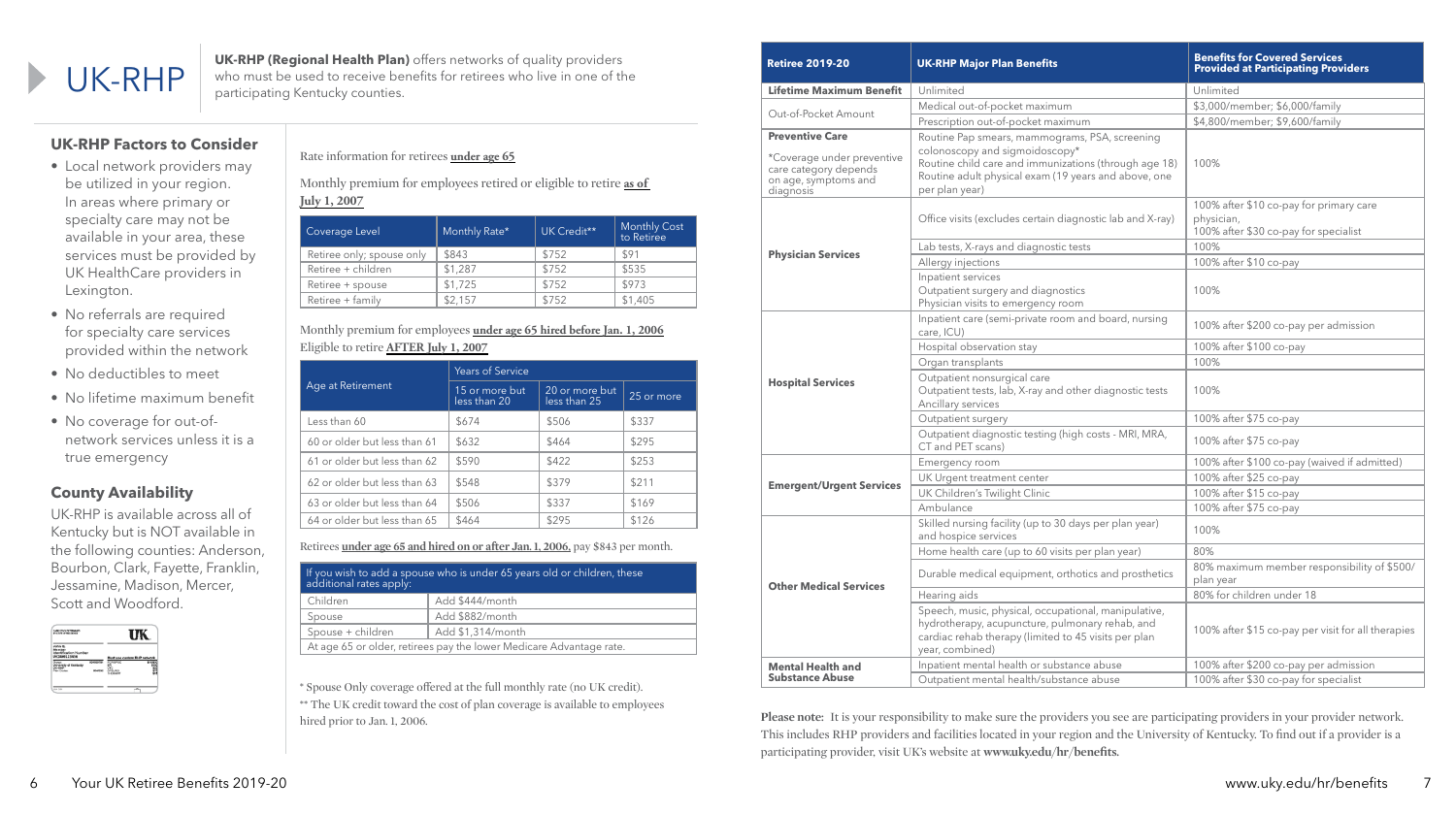# UK-RHP

**UK-RHP (Regional Health Plan)** offers networks of quality providers who must be used to receive benefits for retirees who live in one of the participating Kentucky counties.

| <b>Retiree 2019-20</b>                                                                                             | <b>UK-RHP Major Plan Benefits</b>                                                                                                                                                                                   | <b>Benefits for Covered Services</b><br><b>Provided at Participating Providers</b>             |
|--------------------------------------------------------------------------------------------------------------------|---------------------------------------------------------------------------------------------------------------------------------------------------------------------------------------------------------------------|------------------------------------------------------------------------------------------------|
| <b>Lifetime Maximum Benefit</b>                                                                                    | Unlimited                                                                                                                                                                                                           | Unlimited                                                                                      |
| Out-of-Pocket Amount                                                                                               | Medical out-of-pocket maximum                                                                                                                                                                                       | \$3,000/member; \$6,000/family                                                                 |
|                                                                                                                    | Prescription out-of-pocket maximum                                                                                                                                                                                  | \$4,800/member; \$9,600/family                                                                 |
| <b>Preventive Care</b><br>*Coverage under preventive<br>care category depends<br>on age, symptoms and<br>diagnosis | Routine Pap smears, mammograms, PSA, screening<br>colonoscopy and sigmoidoscopy*<br>Routine child care and immunizations (through age 18)<br>Routine adult physical exam (19 years and above, one<br>per plan year) | 100%                                                                                           |
|                                                                                                                    | Office visits (excludes certain diagnostic lab and X-ray)                                                                                                                                                           | 100% after \$10 co-pay for primary care<br>physician,<br>100% after \$30 co-pay for specialist |
|                                                                                                                    | Lab tests, X-rays and diagnostic tests                                                                                                                                                                              | 100%                                                                                           |
| <b>Physician Services</b>                                                                                          | Allergy injections                                                                                                                                                                                                  | 100% after \$10 co-pay                                                                         |
|                                                                                                                    | Inpatient services<br>Outpatient surgery and diagnostics<br>Physician visits to emergency room                                                                                                                      | 100%                                                                                           |
|                                                                                                                    | Inpatient care (semi-private room and board, nursing<br>care, ICU)                                                                                                                                                  | 100% after \$200 co-pay per admission                                                          |
|                                                                                                                    | Hospital observation stay                                                                                                                                                                                           | 100% after \$100 co-pay                                                                        |
|                                                                                                                    | Organ transplants                                                                                                                                                                                                   | 100%                                                                                           |
| <b>Hospital Services</b>                                                                                           | Outpatient nonsurgical care<br>Outpatient tests, lab, X-ray and other diagnostic tests<br>Ancillary services                                                                                                        | 100%                                                                                           |
|                                                                                                                    | Outpatient surgery                                                                                                                                                                                                  | 100% after \$75 co-pay                                                                         |
|                                                                                                                    | Outpatient diagnostic testing (high costs - MRI, MRA,<br>CT and PET scans)                                                                                                                                          | 100% after \$75 co-pay                                                                         |
|                                                                                                                    | Emergency room                                                                                                                                                                                                      | 100% after \$100 co-pay (waived if admitted)                                                   |
|                                                                                                                    | UK Urgent treatment center                                                                                                                                                                                          | 100% after \$25 co-pay                                                                         |
| <b>Emergent/Urgent Services</b>                                                                                    | UK Children's Twilight Clinic                                                                                                                                                                                       | 100% after \$15 co-pay                                                                         |
|                                                                                                                    | Ambulance                                                                                                                                                                                                           | 100% after \$75 co-pay                                                                         |
|                                                                                                                    | Skilled nursing facility (up to 30 days per plan year)<br>and hospice services                                                                                                                                      | 100%                                                                                           |
|                                                                                                                    | Home health care (up to 60 visits per plan year)                                                                                                                                                                    | 80%                                                                                            |
| <b>Other Medical Services</b>                                                                                      | Durable medical equipment, orthotics and prosthetics                                                                                                                                                                | 80% maximum member responsibility of \$500/<br>plan year                                       |
|                                                                                                                    | Hearing aids                                                                                                                                                                                                        | 80% for children under 18                                                                      |
|                                                                                                                    | Speech, music, physical, occupational, manipulative,<br>hydrotherapy, acupuncture, pulmonary rehab, and<br>cardiac rehab therapy (limited to 45 visits per plan<br>year, combined)                                  | 100% after \$15 co-pay per visit for all therapies                                             |
| <b>Mental Health and</b>                                                                                           | Inpatient mental health or substance abuse                                                                                                                                                                          | 100% after \$200 co-pay per admission                                                          |
| <b>Substance Abuse</b>                                                                                             | Outpatient mental health/substance abuse                                                                                                                                                                            | 100% after \$30 co-pay for specialist                                                          |

\* Spouse Only coverage offered at the full monthly rate (no UK credit). \*\* The UK credit toward the cost of plan coverage is available to employees hired prior to Jan. 1, 2006.

**Please note:** It is your responsibility to make sure the providers you see are participating providers in your provider network. This includes RHP providers and facilities located in your region and the University of Kentucky. To find out if a provider is a participating provider, visit UK's website at **www.uky.edu/hr/benefits.** 

Rate information for retirees **under age 65**

Monthly premium for employees retired or eligible to retire **as of July 1, 2007**

| Coverage Level            | Monthly Rate* | UK Credit** | <b>Monthly Cost</b><br>to Retiree |
|---------------------------|---------------|-------------|-----------------------------------|
| Retiree only; spouse only | \$843         | \$752       | \$91                              |
| Retiree + children        | \$1,287       | \$752       | \$535                             |
| Retiree + spouse          | \$1,725       | \$752       | \$973                             |
| Retiree + family          | \$2,157       | \$752       | \$1,405                           |

Monthly premium for employees **under age 65 hired before Jan. 1, 2006** Eligible to retire **AFTER July 1, 2007**

Retirees **under age 65 and hired on or after Jan. 1, 2006,** pay \$843 per month.

| If you wish to add a spouse who is under 65 years old or children, these<br>additional rates apply: |  |  |  |
|-----------------------------------------------------------------------------------------------------|--|--|--|
| Add \$444/month<br>Children                                                                         |  |  |  |
| Add \$882/month<br>Spouse                                                                           |  |  |  |
| Add \$1,314/month<br>Spouse + children                                                              |  |  |  |
| At age 65 or older, retirees pay the lower Medicare Advantage rate.                                 |  |  |  |

# **UK-RHP Factors to Consider**

- Local network providers may be utilized in your region. In areas where primary or specialty care may not be available in your area, these services must be provided by UK HealthCare providers in Lexington.
- No referrals are required for specialty care services provided within the network
- No deductibles to meet
- No lifetime maximum benefit
- No coverage for out-ofnetwork services unless it is a true emergency

# **County Availability**

UK-RHP is available across all of Kentucky but is NOT available in the following counties: Anderson, Bourbon, Clark, Fayette, Franklin, Jessamine, Madison, Mercer, Scott and Woodford.



|                              | <b>Years of Service</b>        |                                |            |  |
|------------------------------|--------------------------------|--------------------------------|------------|--|
| Age at Retirement            | 15 or more but<br>less than 20 | 20 or more but<br>less than 25 | 25 or more |  |
| Less than 60                 | \$674                          | \$506                          | \$337      |  |
| 60 or older but less than 61 | \$632                          | \$464                          | \$295      |  |
| 61 or older but less than 62 | \$590                          | \$422                          | \$253      |  |
| 62 or older but less than 63 | \$548                          | \$379                          | \$211      |  |
| 63 or older but less than 64 | \$506                          | \$337                          | \$169      |  |
| 64 or older but less than 65 | \$464                          | \$295                          | \$126      |  |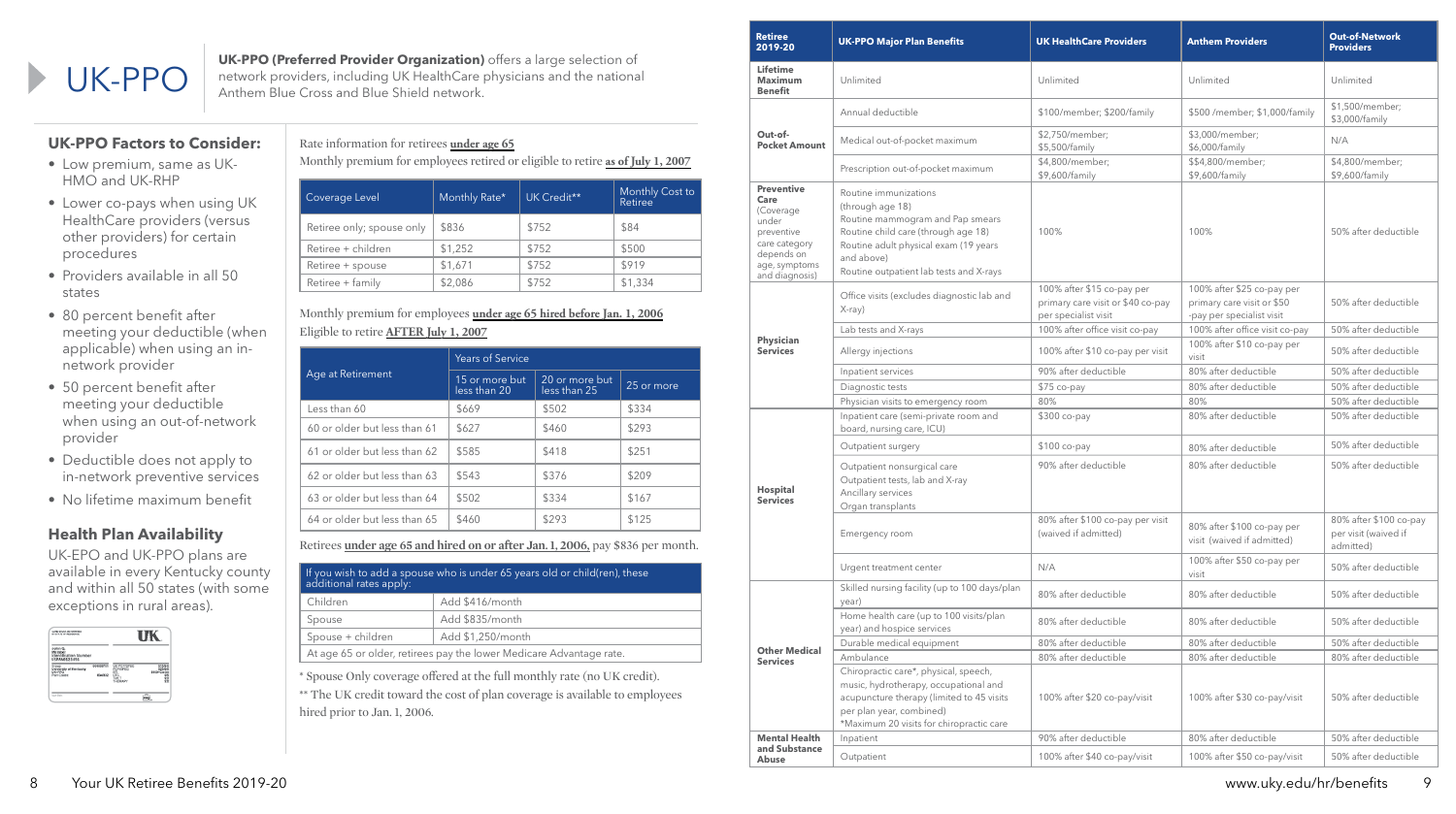**UK-PPO (Preferred Provider Organization)** offers a large selection of network providers, including UK HealthCare physicians and the nationa<br>Anthem Blue Cross and Blue Shield network. network providers, including UK HealthCare physicians and the national Anthem Blue Cross and Blue Shield network.

| <b>Retiree</b><br>2019-20                                                                                                       | <b>UK-PPO Major Plan Benefits</b>                                                                                                                                                                                      | <b>UK HealthCare Providers</b>                                                          | <b>Anthem Providers</b>                                                               | <b>Out-of-Network</b><br><b>Providers</b>                   |
|---------------------------------------------------------------------------------------------------------------------------------|------------------------------------------------------------------------------------------------------------------------------------------------------------------------------------------------------------------------|-----------------------------------------------------------------------------------------|---------------------------------------------------------------------------------------|-------------------------------------------------------------|
| <b>Lifetime</b><br><b>Maximum</b><br><b>Benefit</b>                                                                             | Unlimited                                                                                                                                                                                                              | Unlimited                                                                               | Unlimited                                                                             | Unlimited                                                   |
|                                                                                                                                 | Annual deductible                                                                                                                                                                                                      | \$100/member; \$200/family                                                              | \$500 /member; \$1,000/family                                                         | \$1,500/member;<br>\$3,000/family                           |
| Out-of-<br><b>Pocket Amount</b>                                                                                                 | Medical out-of-pocket maximum                                                                                                                                                                                          | \$2,750/member;<br>\$5,500/family                                                       | \$3,000/member;<br>\$6,000/family                                                     | N/A                                                         |
|                                                                                                                                 | Prescription out-of-pocket maximum                                                                                                                                                                                     | \$4,800/member;<br>\$9,600/family                                                       | \$\$4,800/member;<br>\$9,600/family                                                   | \$4,800/member;<br>\$9,600/family                           |
| <b>Preventive</b><br>Care<br>(Coverage<br>under<br>preventive<br>care category<br>depends on<br>age, symptoms<br>and diagnosis) | Routine immunizations<br>(through age 18)<br>Routine mammogram and Pap smears<br>Routine child care (through age 18)<br>Routine adult physical exam (19 years<br>and above)<br>Routine outpatient lab tests and X-rays | 100%                                                                                    | 100%                                                                                  | 50% after deductible                                        |
|                                                                                                                                 | Office visits (excludes diagnostic lab and<br>X-ray)                                                                                                                                                                   | 100% after \$15 co-pay per<br>primary care visit or \$40 co-pay<br>per specialist visit | 100% after \$25 co-pay per<br>primary care visit or \$50<br>-pay per specialist visit | 50% after deductible                                        |
|                                                                                                                                 | Lab tests and X-rays                                                                                                                                                                                                   | 100% after office visit co-pay                                                          | 100% after office visit co-pay                                                        | 50% after deductible                                        |
| Physician<br><b>Services</b>                                                                                                    | Allergy injections                                                                                                                                                                                                     | 100% after \$10 co-pay per visit                                                        | 100% after \$10 co-pay per<br>visit                                                   | 50% after deductible                                        |
|                                                                                                                                 | Inpatient services                                                                                                                                                                                                     | 90% after deductible                                                                    | 80% after deductible                                                                  | 50% after deductible                                        |
|                                                                                                                                 | Diagnostic tests                                                                                                                                                                                                       | \$75 co-pay                                                                             | 80% after deductible                                                                  | 50% after deductible                                        |
|                                                                                                                                 | Physician visits to emergency room                                                                                                                                                                                     | 80%                                                                                     | 80%                                                                                   | 50% after deductible                                        |
|                                                                                                                                 | Inpatient care (semi-private room and<br>board, nursing care, ICU)                                                                                                                                                     | \$300 co-pay                                                                            | 80% after deductible                                                                  | 50% after deductible                                        |
|                                                                                                                                 | Outpatient surgery                                                                                                                                                                                                     | \$100 co-pay                                                                            | 80% after deductible                                                                  | 50% after deductible                                        |
| <b>Hospital</b><br><b>Services</b>                                                                                              | Outpatient nonsurgical care<br>Outpatient tests, lab and X-ray<br>Ancillary services<br>Organ transplants                                                                                                              | 90% after deductible                                                                    | 80% after deductible                                                                  | 50% after deductible                                        |
|                                                                                                                                 | Emergency room                                                                                                                                                                                                         | 80% after \$100 co-pay per visit<br>(waived if admitted)                                | 80% after \$100 co-pay per<br>visit (waived if admitted)                              | 80% after \$100 co-pay<br>per visit (waived if<br>admitted) |
|                                                                                                                                 | Urgent treatment center                                                                                                                                                                                                | N/A                                                                                     | 100% after \$50 co-pay per<br>visit                                                   | 50% after deductible                                        |
|                                                                                                                                 | Skilled nursing facility (up to 100 days/plan<br>year)                                                                                                                                                                 | 80% after deductible                                                                    | 80% after deductible                                                                  | 50% after deductible                                        |
|                                                                                                                                 | Home health care (up to 100 visits/plan<br>year) and hospice services                                                                                                                                                  | 80% after deductible                                                                    | 80% after deductible                                                                  | 50% after deductible                                        |
|                                                                                                                                 | Durable medical equipment                                                                                                                                                                                              | 80% after deductible                                                                    | 80% after deductible                                                                  | 50% after deductible                                        |
| <b>Other Medical</b><br><b>Services</b>                                                                                         | Ambulance                                                                                                                                                                                                              | 80% after deductible                                                                    | 80% after deductible                                                                  | 80% after deductible                                        |
|                                                                                                                                 | Chiropractic care*, physical, speech,<br>music, hydrotherapy, occupational and<br>acupuncture therapy (limited to 45 visits<br>per plan year, combined)<br>*Maximum 20 visits for chiropractic care                    | 100% after \$20 co-pay/visit                                                            | 100% after \$30 co-pay/visit                                                          | 50% after deductible                                        |
| <b>Mental Health</b>                                                                                                            | Inpatient                                                                                                                                                                                                              | 90% after deductible                                                                    | 80% after deductible                                                                  | 50% after deductible                                        |
| and Substance<br>Abuse                                                                                                          | Outpatient                                                                                                                                                                                                             | 100% after \$40 co-pay/visit                                                            | 100% after \$50 co-pay/visit                                                          | 50% after deductible                                        |

\*\* The UK credit toward the cost of plan coverage is available to employees hired prior to Jan. 1, 2006.

#### Rate information for retirees **under age 65**

Monthly premium for employees retired or eligible to retire **as of July 1, 2007**

| Coverage Level            | Monthly Rate* | UK Credit** | Monthly Cost to<br>Retiree |
|---------------------------|---------------|-------------|----------------------------|
| Retiree only; spouse only | \$836         | \$752       | \$84                       |
| Retiree + children        | \$1,252       | \$752       | \$500                      |
| Retiree + spouse          | \$1,671       | \$752       | \$919                      |
| Retiree + family          | \$2,086       | \$752       | \$1,334                    |

#### Monthly premium for employees **under age 65 hired before Jan. 1, 2006** Eligible to retire **AFTER July 1, 2007**

Retirees **under age 65 and hired on or after Jan. 1, 2006,** pay \$836 per month.

| If you wish to add a spouse who is under 65 years old or child(ren), these<br>additional rates apply: |                   |  |
|-------------------------------------------------------------------------------------------------------|-------------------|--|
| Children                                                                                              | Add \$416/month   |  |
| Spouse                                                                                                | Add \$835/month   |  |
| Spouse + children                                                                                     | Add \$1,250/month |  |
| At age 65 or older, retirees pay the lower Medicare Advantage rate.                                   |                   |  |

\* Spouse Only coverage offered at the full monthly rate (no UK credit).

### **UK-PPO Factors to Consider:**

- Low premium, same as UK-HMO and UK-RHP
- Lower co-pays when using UK HealthCare providers (versus other providers) for certain procedures
- Providers available in all 50 states
- 80 percent benefit after meeting your deductible (when applicable) when using an innetwork provider
- 50 percent benefit after meeting your deductible when using an out-of-network provider
- Deductible does not apply to in-network preventive services
- No lifetime maximum benefit

### **Health Plan Availability**

UK-EPO and UK-PPO plans are available in every Kentucky county and within all 50 states (with some exceptions in rural areas).

| CARD STOCK DETERMINED<br>BY 5TATE OF RESIDENCE             |                     |                                                                       |                                   |
|------------------------------------------------------------|---------------------|-----------------------------------------------------------------------|-----------------------------------|
| John Q.<br>Member<br>Identification Number<br>USPAN0123456 |                     |                                                                       |                                   |
| University of Kentucky<br>UK-PPO<br>Plan Codes:            | 004008701<br>834032 | <b>IK PCP/SPEC</b><br><b>POPISPEC</b><br>rn<br>ÛTC<br>TWLT<br>THERAPY | <b>125/5</b><br>\$100+Co-ins<br>Ã |
| tops Data:                                                 |                     |                                                                       |                                   |

|                              | <b>Years of Service</b>        |                                |            |
|------------------------------|--------------------------------|--------------------------------|------------|
| Age at Retirement            | 15 or more but<br>less than 20 | 20 or more but<br>less than 25 | 25 or more |
| Less than 60                 | \$669                          | \$502                          | \$334      |
| 60 or older but less than 61 | \$627                          | \$460                          | \$293      |
| 61 or older but less than 62 | \$585                          | \$418                          | \$251      |
| 62 or older but less than 63 | \$543                          | \$376                          | \$209      |
| 63 or older but less than 64 | \$502                          | \$334                          | \$167      |
| 64 or older but less than 65 | \$460                          | \$293                          | \$125      |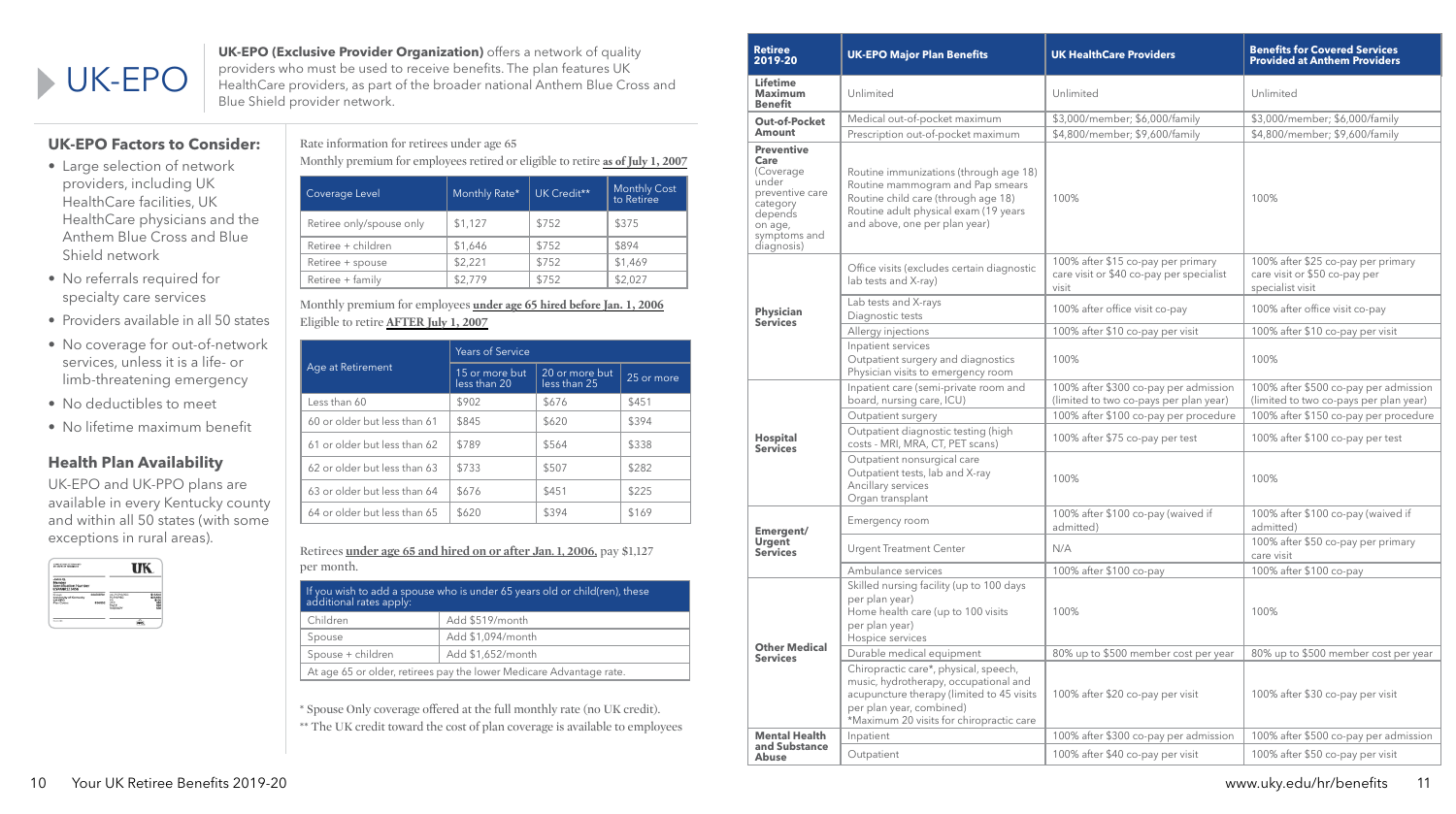# UK-EPO

**UK-EPO (Exclusive Provider Organization)** offers a network of quality providers who must be used to receive benefits. The plan features UK HealthCare providers, as part of the broader national Anthem Blue Cross and Blue Shield provider network.

Rate information for retirees under age 65

Monthly premium for employees retired or eligible to retire **as of July 1, 2007**

| Coverage Level           | Monthly Rate* | UK Credit** | <b>Monthly Cost</b><br>to Retiree |
|--------------------------|---------------|-------------|-----------------------------------|
| Retiree only/spouse only | \$1,127       | \$752       | \$375                             |
| Retiree + children       | \$1,646       | \$752       | \$894                             |
| Retiree + spouse         | \$2,221       | \$752       | \$1,469                           |
| Retiree + family         | \$2,779       | \$752       | \$2,027                           |

Monthly premium for employees **under age 65 hired before Jan. 1, 2006** Eligible to retire **AFTER July 1, 2007**

Retirees **under age 65 and hired on or after Jan. 1, 2006,** pay \$1,127 per month.

|                                                                     | If you wish to add a spouse who is under 65 years old or child(ren), these $\overline{ }$<br>additional rates apply: |                   |  |
|---------------------------------------------------------------------|----------------------------------------------------------------------------------------------------------------------|-------------------|--|
| Children                                                            |                                                                                                                      | Add \$519/month   |  |
|                                                                     | Spouse                                                                                                               | Add \$1,094/month |  |
|                                                                     | Spouse + children                                                                                                    | Add \$1,652/month |  |
| At age 65 or older, retirees pay the lower Medicare Advantage rate. |                                                                                                                      |                   |  |

\* Spouse Only coverage offered at the full monthly rate (no UK credit).

\*\* The UK credit toward the cost of plan coverage is available to employees

# **UK-EPO Factors to Consider:**

- Large selection of network providers, including UK HealthCare facilities, UK HealthCare physicians and the Anthem Blue Cross and Blue Shield network
- No referrals required for specialty care services
- Providers available in all 50 states
- No coverage for out-of-network services, unless it is a life- or limb-threatening emergency
- No deductibles to meet
- No lifetime maximum benefit

# **Health Plan Availability**

UK-EPO and UK-PPO plans are available in every Kentucky county and within all 50 states (with some exceptions in rural areas).



| <b>Retiree</b><br>2019-20                                                                                                          | <b>UK-EPO Major Plan Benefits</b>                                                                                                                                                                   | <b>UK HealthCare Providers</b>                                                          | <b>Benefits for Covered Services</b><br><b>Provided at Anthem Providers</b>             |
|------------------------------------------------------------------------------------------------------------------------------------|-----------------------------------------------------------------------------------------------------------------------------------------------------------------------------------------------------|-----------------------------------------------------------------------------------------|-----------------------------------------------------------------------------------------|
| <b>Lifetime</b><br><b>Maximum</b><br><b>Benefit</b>                                                                                | Unlimited                                                                                                                                                                                           | Unlimited                                                                               | Unlimited                                                                               |
| <b>Out-of-Pocket</b>                                                                                                               | Medical out-of-pocket maximum                                                                                                                                                                       | \$3,000/member; \$6,000/family                                                          | \$3,000/member; \$6,000/family                                                          |
| Amount                                                                                                                             | Prescription out-of-pocket maximum                                                                                                                                                                  | \$4,800/member; \$9,600/family                                                          | \$4,800/member; \$9,600/family                                                          |
| <b>Preventive</b><br>Care<br>(Coverage<br>under<br>preventive care<br>category<br>depends<br>on age,<br>symptoms and<br>diagnosis) | Routine immunizations (through age 18)<br>Routine mammogram and Pap smears<br>Routine child care (through age 18)<br>Routine adult physical exam (19 years<br>and above, one per plan year)         | 100%                                                                                    | 100%                                                                                    |
|                                                                                                                                    | Office visits (excludes certain diagnostic<br>lab tests and X-ray)                                                                                                                                  | 100% after \$15 co-pay per primary<br>care visit or \$40 co-pay per specialist<br>visit | 100% after \$25 co-pay per primary<br>care visit or \$50 co-pay per<br>specialist visit |
| <b>Physician</b><br><b>Services</b>                                                                                                | Lab tests and X-rays<br>Diagnostic tests                                                                                                                                                            | 100% after office visit co-pay                                                          | 100% after office visit co-pay                                                          |
|                                                                                                                                    | Allergy injections                                                                                                                                                                                  | 100% after \$10 co-pay per visit                                                        | 100% after \$10 co-pay per visit                                                        |
|                                                                                                                                    | Inpatient services<br>Outpatient surgery and diagnostics<br>Physician visits to emergency room                                                                                                      | 100%                                                                                    | 100%                                                                                    |
|                                                                                                                                    | Inpatient care (semi-private room and<br>board, nursing care, ICU)                                                                                                                                  | 100% after \$300 co-pay per admission<br>(limited to two co-pays per plan year)         | 100% after \$500 co-pay per admission<br>(limited to two co-pays per plan year)         |
|                                                                                                                                    | Outpatient surgery                                                                                                                                                                                  | 100% after \$100 co-pay per procedure                                                   | 100% after \$150 co-pay per procedure                                                   |
| <b>Hospital</b><br><b>Services</b>                                                                                                 | Outpatient diagnostic testing (high<br>costs - MRI, MRA, CT, PET scans)                                                                                                                             | 100% after \$75 co-pay per test                                                         | 100% after \$100 co-pay per test                                                        |
|                                                                                                                                    | Outpatient nonsurgical care<br>Outpatient tests, lab and X-ray<br>Ancillary services<br>Organ transplant                                                                                            | 100%                                                                                    | 100%                                                                                    |
| Emergent/                                                                                                                          | Emergency room                                                                                                                                                                                      | 100% after \$100 co-pay (waived if<br>admitted)                                         | 100% after \$100 co-pay (waived if<br>admitted)                                         |
| <b>Urgent</b><br><b>Services</b>                                                                                                   | <b>Urgent Treatment Center</b>                                                                                                                                                                      | N/A                                                                                     | 100% after \$50 co-pay per primary<br>care visit                                        |
|                                                                                                                                    | Ambulance services                                                                                                                                                                                  | 100% after \$100 co-pay                                                                 | 100% after \$100 co-pay                                                                 |
|                                                                                                                                    | Skilled nursing facility (up to 100 days<br>per plan year)<br>Home health care (up to 100 visits<br>per plan year)<br>Hospice services                                                              | 100%                                                                                    | 100%                                                                                    |
| <b>Other Medical</b><br><b>Services</b>                                                                                            | Durable medical equipment                                                                                                                                                                           | 80% up to \$500 member cost per year                                                    | 80% up to \$500 member cost per year                                                    |
|                                                                                                                                    | Chiropractic care*, physical, speech,<br>music, hydrotherapy, occupational and<br>acupuncture therapy (limited to 45 visits<br>per plan year, combined)<br>*Maximum 20 visits for chiropractic care | 100% after \$20 co-pay per visit                                                        | 100% after \$30 co-pay per visit                                                        |
| <b>Mental Health</b>                                                                                                               | Inpatient                                                                                                                                                                                           | 100% after \$300 co-pay per admission                                                   | 100% after \$500 co-pay per admission                                                   |
| and Substance<br><b>Abuse</b>                                                                                                      | Outpatient                                                                                                                                                                                          | 100% after \$40 co-pay per visit                                                        | 100% after \$50 co-pay per visit                                                        |

|                              | <b>Years of Service</b>        |                                |            |
|------------------------------|--------------------------------|--------------------------------|------------|
| Age at Retirement            | 15 or more but<br>less than 20 | 20 or more but<br>less than 25 | 25 or more |
| Less than 60                 | \$902                          | \$676                          | \$451      |
| 60 or older but less than 61 | \$845                          | \$620                          | \$394      |
| 61 or older but less than 62 | \$789                          | \$564                          | \$338      |
| 62 or older but less than 63 | \$733                          | \$507                          | \$282      |
| 63 or older but less than 64 | \$676                          | \$451                          | \$225      |
| 64 or older but less than 65 | \$620                          | \$394                          | \$169      |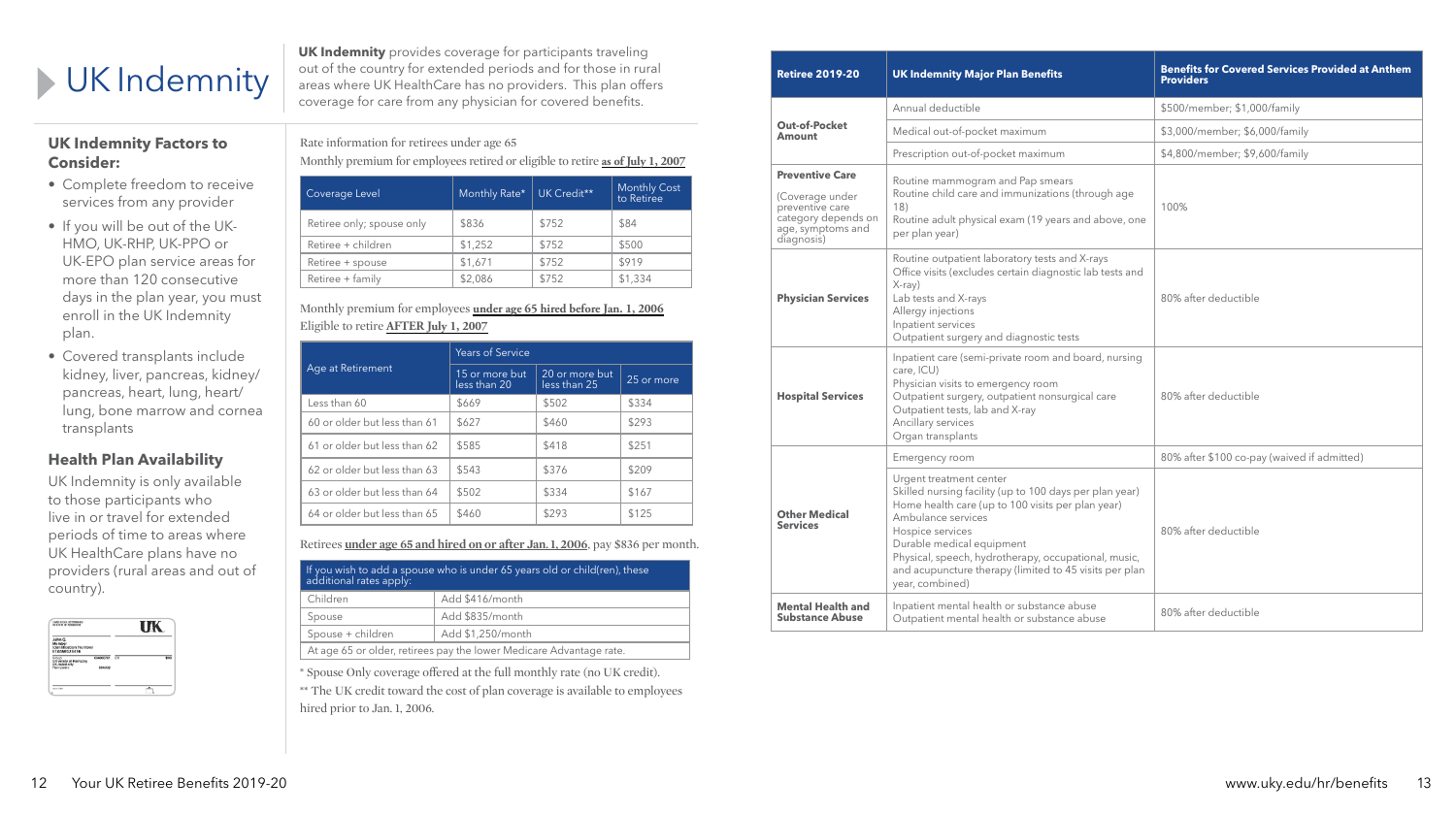**UK Indemnity** provides coverage for participants traveling out of the country for extended periods and for those in rural areas where UK HealthCare has no providers. This plan offers coverage for care from any physician for covered benefits.

| <b>Retiree 2019-20</b><br><b>UK Indemnity Major Plan Benefits</b>                                                                                                                                                                                                 |                                                                                                                                                                                                                                                                                                                                                     | <b>Benefits for Covered Services Provided at Anthem</b><br><b>Providers</b> |  |
|-------------------------------------------------------------------------------------------------------------------------------------------------------------------------------------------------------------------------------------------------------------------|-----------------------------------------------------------------------------------------------------------------------------------------------------------------------------------------------------------------------------------------------------------------------------------------------------------------------------------------------------|-----------------------------------------------------------------------------|--|
|                                                                                                                                                                                                                                                                   | Annual deductible                                                                                                                                                                                                                                                                                                                                   | \$500/member; \$1,000/family                                                |  |
| <b>Out-of-Pocket</b><br><b>Amount</b>                                                                                                                                                                                                                             | Medical out-of-pocket maximum                                                                                                                                                                                                                                                                                                                       | \$3,000/member; \$6,000/family                                              |  |
|                                                                                                                                                                                                                                                                   | Prescription out-of-pocket maximum                                                                                                                                                                                                                                                                                                                  | \$4,800/member; \$9,600/family                                              |  |
| <b>Preventive Care</b><br>(Coverage under<br>preventive care<br>category depends on<br>age, symptoms and<br>diagnosis)                                                                                                                                            | Routine mammogram and Pap smears<br>Routine child care and immunizations (through age<br>18)<br>Routine adult physical exam (19 years and above, one<br>per plan year)                                                                                                                                                                              | 100%                                                                        |  |
| Routine outpatient laboratory tests and X-rays<br>Office visits (excludes certain diagnostic lab tests and<br>$X-ray$<br>Lab tests and X-rays<br><b>Physician Services</b><br>Allergy injections<br>Inpatient services<br>Outpatient surgery and diagnostic tests |                                                                                                                                                                                                                                                                                                                                                     | 80% after deductible                                                        |  |
| <b>Hospital Services</b>                                                                                                                                                                                                                                          | Inpatient care (semi-private room and board, nursing<br>care, ICU)<br>Physician visits to emergency room<br>Outpatient surgery, outpatient nonsurgical care<br>Outpatient tests, lab and X-ray<br>Ancillary services<br>Organ transplants                                                                                                           | 80% after deductible                                                        |  |
|                                                                                                                                                                                                                                                                   | Emergency room                                                                                                                                                                                                                                                                                                                                      | 80% after \$100 co-pay (waived if admitted)                                 |  |
| <b>Other Medical</b><br><b>Services</b>                                                                                                                                                                                                                           | Urgent treatment center<br>Skilled nursing facility (up to 100 days per plan year)<br>Home health care (up to 100 visits per plan year)<br>Ambulance services<br>Hospice services<br>Durable medical equipment<br>Physical, speech, hydrotherapy, occupational, music,<br>and acupuncture therapy (limited to 45 visits per plan<br>year, combined) | 80% after deductible                                                        |  |
| Inpatient mental health or substance abuse<br><b>Mental Health and</b><br><b>Substance Abuse</b><br>Outpatient mental health or substance abuse                                                                                                                   |                                                                                                                                                                                                                                                                                                                                                     | 80% after deductible                                                        |  |

\*\* The UK credit toward the cost of plan coverage is available to employees hired prior to Jan. 1, 2006.

Rate information for retirees under age 65

Monthly premium for employees retired or eligible to retire **as of July 1, 2007**

| Coverage Level            | Monthly Rate* | UK Credit** | <b>Monthly Cost</b><br>to Retiree |
|---------------------------|---------------|-------------|-----------------------------------|
| Retiree only; spouse only | \$836         | \$752       | \$84                              |
| Retiree + children        | \$1,252       | \$752       | \$500                             |
| Retiree + spouse          | \$1,671       | \$752       | \$919                             |
| Retiree + family          | \$2,086       | \$752       | \$1,334                           |

#### Monthly premium for employees **under age 65 hired before Jan. 1, 2006** Eligible to retire **AFTER July 1, 2007**

Retirees **under age 65 and hired on or after Jan. 1, 2006**, pay \$836 per month.

| If you wish to add a spouse who is under 65 years old or child(ren), these<br>additional rates apply: |                   |  |
|-------------------------------------------------------------------------------------------------------|-------------------|--|
| Children                                                                                              | Add \$416/month   |  |
| Spouse                                                                                                | Add \$835/month   |  |
| Spouse + children                                                                                     | Add \$1,250/month |  |
| At age 65 or older, retirees pay the lower Medicare Advantage rate.                                   |                   |  |

\* Spouse Only coverage offered at the full monthly rate (no UK credit).

# UK Indemnity

# **UK Indemnity Factors to Consider:**

- Complete freedom to receive services from any provider
- If you will be out of the UK-HMO, UK-RHP, UK-PPO or UK-EPO plan service areas for more than 120 consecutive days in the plan year, you must enroll in the UK Indemnity plan.
- Covered transplants include kidney, liver, pancreas, kidney/ pancreas, heart, lung, heart/ lung, bone marrow and cornea transplants

# **Health Plan Availability**

UK Indemnity is only available to those participants who live in or travel for extended periods of time to areas where UK HealthCare plans have no providers (rural areas and out of country).



| Age at Retirement            | <b>Years of Service</b>        |                                |            |  |
|------------------------------|--------------------------------|--------------------------------|------------|--|
|                              | 15 or more but<br>less than 20 | 20 or more but<br>less than 25 | 25 or more |  |
| Less than 60                 | \$669                          | \$502                          | \$334      |  |
| 60 or older but less than 61 | \$627                          | \$460                          | \$293      |  |
| 61 or older but less than 62 | \$585                          | \$418                          | \$251      |  |
| 62 or older but less than 63 | \$543                          | \$376                          | \$209      |  |
| 63 or older but less than 64 | \$502                          | \$334                          | \$167      |  |
| 64 or older but less than 65 | \$460                          | \$293                          | \$125      |  |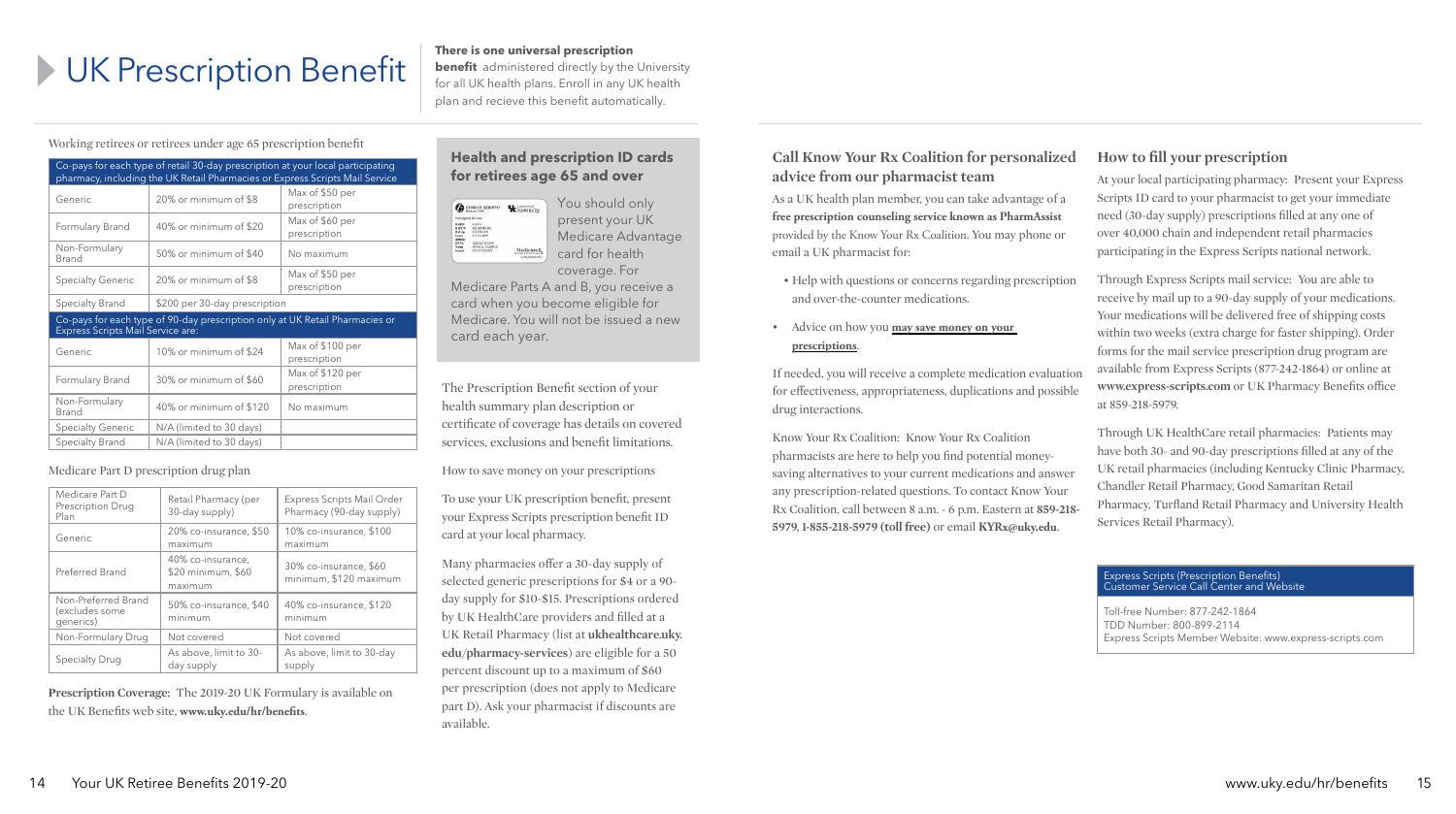# **IDENTHERED SERVIPTION BENEFIT IS ONE UNIVERSED PRESCRIPTION OF A PROPERTY AND AN ARRANGEMENT ADVITED AN ARRANGEMENT ADVITED AN ARRANGEMENT ADVITED AND LET**

**benefit** administered directly by the University for all UK health plans. Enroll in any UK health plan and recieve this benefit automatically.

## **Call Know Your Rx Coalition for personalized advice from our pharmacist team**

- Help with questions or concerns regarding prescription and over-the-counter medications.
- Advice on how you **may save money on your prescriptions**.

As a UK health plan member, you can take advantage of a **free prescription counseling service known as PharmAssist**  provided by the Know Your Rx Coalition. You may phone or email a UK pharmacist for:

If needed, you will receive a complete medication evaluation for effectiveness, appropriateness, duplications and possidrug interactions.

Know Your Rx Coalition: Know Your Rx Coalition pharmacists are here to help you find potential moneysaving alternatives to your current medications and answer any prescription-related questions. To contact Know Your Rx Coalition, call between 8 a.m. - 6 p.m. Eastern at 859-2 **5979, 1-855-218-5979 (toll free)** or email **KYRx@uky.edu**.

**How to fill your prescription**

| ł.                           | At your local participating pharmacy: Present your Express<br>Scripts ID card to your pharmacist to get your immediate<br>need (30-day supply) prescriptions filled at any one of<br>over 40,000 chain and independent retail pharmacies<br>participating in the Express Scripts national network.                                                                       |
|------------------------------|--------------------------------------------------------------------------------------------------------------------------------------------------------------------------------------------------------------------------------------------------------------------------------------------------------------------------------------------------------------------------|
| on                           | Through Express Scripts mail service: You are able to<br>receive by mail up to a 90-day supply of your medications.<br>Your medications will be delivered free of shipping costs<br>within two weeks (extra charge for faster shipping). Order<br>forms for the mail service prescription drug program are<br>available from Express Scripts (877-242-1864) or online at |
| tion<br>ble                  | www.express-scripts.com or UK Pharmacy Benefits office<br>at 859-218-5979.<br>Through UK HealthCare retail pharmacies: Patients may<br>have both 30- and 90-day prescriptions filled at any of the                                                                                                                                                                       |
| er<br>$\mathbf{r}$<br>$218-$ | UK retail pharmacies (including Kentucky Clinic Pharmacy,<br>Chandler Retail Pharmacy, Good Samaritan Retail<br>Pharmacy, Turfland Retail Pharmacy and University Health<br>Services Retail Pharmacy).                                                                                                                                                                   |

#### Express Scripts (Prescription Benefits) Customer Service Call Center and Website

Toll-free Number: 877-242-1864 TDD Number: 800-899-2114 Express Scripts Member Website: www.express-scripts.com

Working retirees or retirees under age 65 prescription benefit

| Co-pays for each type of retail 30-day prescription at your local participating<br>pharmacy, including the UK Retail Pharmacies or Express Scripts Mail Service |                          |                                  |  |  |
|-----------------------------------------------------------------------------------------------------------------------------------------------------------------|--------------------------|----------------------------------|--|--|
| Generic                                                                                                                                                         | 20% or minimum of \$8    | Max of \$50 per<br>prescription  |  |  |
| Formulary Brand                                                                                                                                                 | 40% or minimum of \$20   | Max of \$60 per<br>prescription  |  |  |
| Non-Formulary<br>Brand                                                                                                                                          | 50% or minimum of \$40   | No maximum                       |  |  |
| <b>Specialty Generic</b>                                                                                                                                        | 20% or minimum of \$8    | Max of \$50 per<br>prescription  |  |  |
| \$200 per 30-day prescription<br>Specialty Brand                                                                                                                |                          |                                  |  |  |
| Co-pays for each type of 90-day prescription only at UK Retail Pharmacies or<br>Express Scripts Mail Service are:                                               |                          |                                  |  |  |
| Generic                                                                                                                                                         | 10% or minimum of \$24   | Max of \$100 per<br>prescription |  |  |
| Formulary Brand                                                                                                                                                 | 30% or minimum of \$60   | Max of \$120 per<br>prescription |  |  |
| Non-Formulary<br>Brand                                                                                                                                          | 40% or minimum of \$120  | No maximum                       |  |  |
| <b>Specialty Generic</b>                                                                                                                                        | N/A (limited to 30 days) |                                  |  |  |
| Specialty Brand                                                                                                                                                 | N/A (limited to 30 days) |                                  |  |  |

#### Medicare Part D prescription drug plan

| Medicare Part D<br>Prescription Drug<br>Plan       | Retail Pharmacy (per<br>30-day supply)             | <b>Express Scripts Mail Order</b><br>Pharmacy (90-day supply) |
|----------------------------------------------------|----------------------------------------------------|---------------------------------------------------------------|
| Generic                                            | 20% co-insurance, \$50<br>maximum                  | 10% co-insurance, \$100<br>maximum                            |
| Preferred Brand                                    | 40% co-insurance,<br>\$20 minimum, \$60<br>maximum | 30% co-insurance, \$60<br>minimum, \$120 maximum              |
| Non-Preferred Brand<br>(excludes some<br>generics) | 50% co-insurance, \$40<br>minimum                  | 40% co-insurance, \$120<br>minimum                            |
| Non-Formulary Drug                                 | Not covered                                        | Not covered                                                   |
| Specialty Drug                                     | As above, limit to 30-<br>day supply               | As above, limit to 30-day<br>supply                           |

**Prescription Coverage:** The 2019-20 UK Formulary is available on the UK Benefits web site, **www.uky.edu/hr/benefits**.

#### **Health and prescription ID cards for retirees age 65 and over**



You should only present your UK Medicare Advantage card for health

coverage. For Medicare Parts A and B, you receive a

card when you become eligible for Medicare. You will not be issued a new card each year.

The Prescription Benefit section of your health summary plan description or certificate of coverage has details on covered services, exclusions and benefit limitations.

How to save money on your prescriptions

To use your UK prescription benefit, present your Express Scripts prescription benefit ID card at your local pharmacy.

Many pharmacies offer a 30-day supply of selected generic prescriptions for \$4 or a 90 day supply for \$10-\$15. Prescriptions ordered by UK HealthCare providers and filled at a UK Retail Pharmacy (list at **ukhealthcare.uky. edu/pharmacy-services**) are eligible for a 50 percent discount up to a maximum of \$60 per prescription (does not apply to Medicare part D). Ask your pharmacist if discounts are available.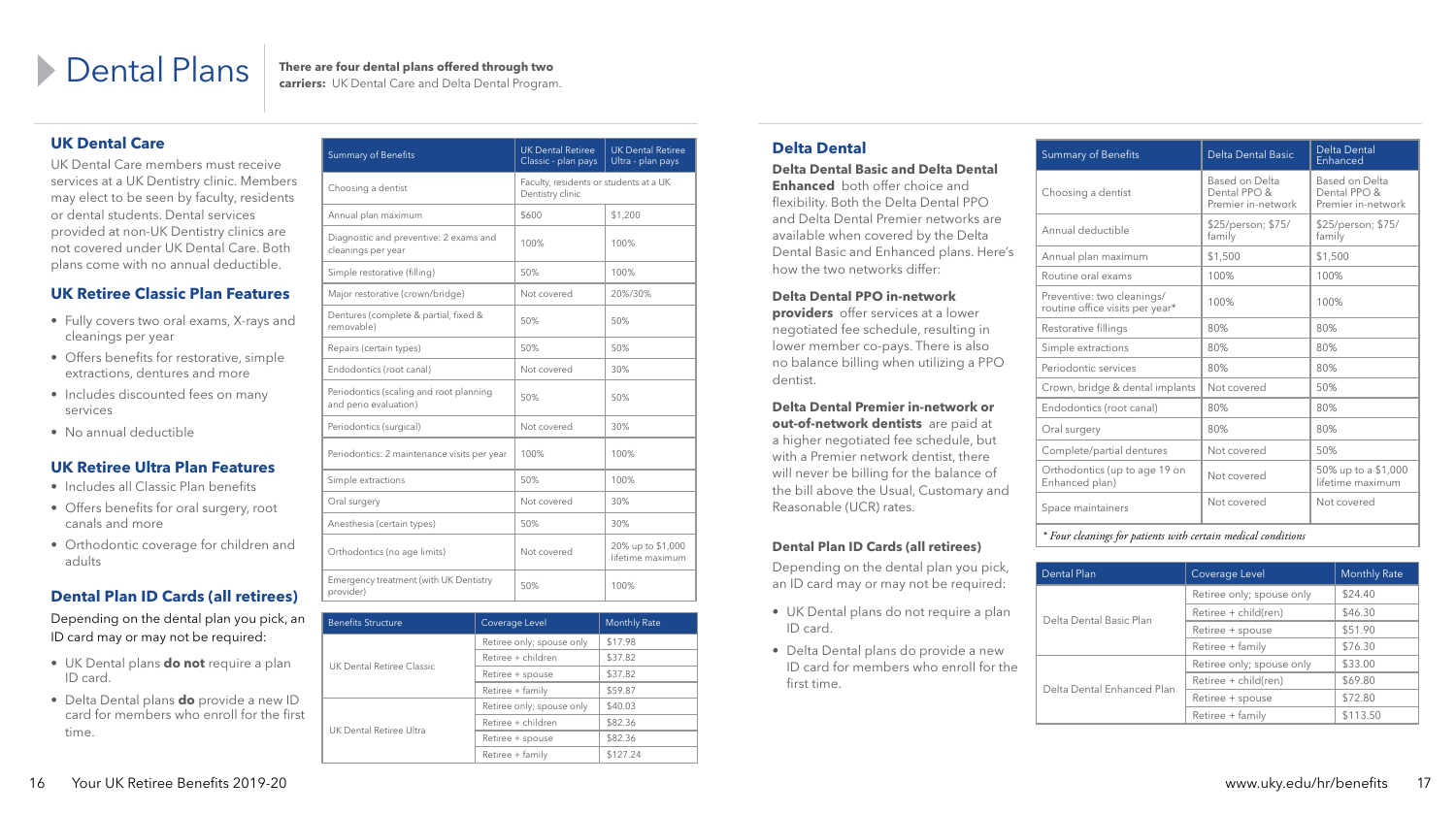## **Delta Dental**

#### **Delta Dental Basic and Delta Dental**

**Enhanced** both offer choice and flexibility. Both the Delta Dental PPO and Delta Dental Premier networks are available when covered by the Delta Dental Basic and Enhanced plans. Here's how the two networks differ:

#### **Delta Dental PPO in-network**

**providers** offer services at a lower negotiated fee schedule, resulting in lower member co-pays. There is also no balance billing when utilizing a PPO dentist.

**Delta Dental Premier in-network or out-of-network dentists** are paid at a higher negotiated fee schedule, but with a Premier network dentist, there will never be billing for the balance of the bill above the Usual, Customary and Reasonable (UCR) rates.

#### **Dental Plan ID Cards (all retirees)**

Depending on the dental plan you pick, an ID card may or may not be required:

Choos Based on Delta Dental PPO & Premier in-network Annual deductible \$25/person; \$75/ family Prever Ortho<br>Enhan *\* Four cleanings for patients with certain medical conditions*

Delta

Delta

- UK Dental plans do not require a plan ID card.
- Delta Dental plans do provide a new ID card for members who enroll for the first time.

| <b>Summary of Benefits</b>                                    | <b>Delta Dental Basic</b>                            | Delta Dental<br>Enhanced                             |
|---------------------------------------------------------------|------------------------------------------------------|------------------------------------------------------|
| Choosing a dentist                                            | Based on Delta<br>Dental PPO &<br>Premier in-network | Based on Delta<br>Dental PPO &<br>Premier in-network |
| Annual deductible                                             | \$25/person; \$75/<br>family                         | \$25/person; \$75/<br>family                         |
| Annual plan maximum                                           | \$1,500                                              | \$1,500                                              |
| Routine oral exams                                            | 100%                                                 | 100%                                                 |
| Preventive: two cleanings/<br>routine office visits per year* | 100%                                                 | 100%                                                 |
| Restorative fillings                                          | 80%                                                  | 80%                                                  |
| Simple extractions                                            | 80%                                                  | 80%                                                  |
| Periodontic services                                          | 80%                                                  | 80%                                                  |
| Crown, bridge & dental implants                               | Not covered                                          | 50%                                                  |
| Endodontics (root canal)                                      | 80%                                                  | 80%                                                  |
| Oral surgery                                                  | 80%                                                  | 80%                                                  |
| Complete/partial dentures                                     | Not covered                                          | 50%                                                  |
| Orthodontics (up to age 19 on<br>Enhanced plan)               | Not covered                                          | 50% up to a \$1,000<br>lifetime maximum              |
| Space maintainers                                             | Not covered                                          | Not covered                                          |
|                                                               |                                                      |                                                      |

### **UK Dental Care**

UK Dental Care members must receive services at a UK Dentistry clinic. Members may elect to be seen by faculty, residents or dental students. Dental services provided at non-UK Dentistry clinics are not covered under UK Dental Care. Both plans come with no annual deductible.

### **UK Retiree Classic Plan Features**

- Fully covers two oral exams, X-rays and cleanings per year
- Offers benefits for restorative, simple extractions, dentures and more
- Includes discounted fees on many services
- No annual deductible

### **UK Retiree Ultra Plan Features**

- Includes all Classic Plan benefits
- Offers benefits for oral surgery, root canals and more
- Orthodontic coverage for children and adults

### **Dental Plan ID Cards (all retirees)**

Depending on the dental plan you pick, an ID card may or may not be required:

- UK Dental plans **do not** require a plan ID card.
- Delta Dental plans **do** provide a new ID card for members who enroll for the first time.

| <b>Summary of Benefits</b>                                       | <b>UK Dental Retiree</b><br>Classic - plan pays            | <b>UK Dental Retiree</b><br>Ultra - plan pays |  |
|------------------------------------------------------------------|------------------------------------------------------------|-----------------------------------------------|--|
| Choosing a dentist                                               | Faculty, residents or students at a UK<br>Dentistry clinic |                                               |  |
| Annual plan maximum                                              | \$600                                                      | \$1,200                                       |  |
| Diagnostic and preventive: 2 exams and<br>cleanings per year     | 100%                                                       | 100%                                          |  |
| Simple restorative (filling)                                     | 50%                                                        | 100%                                          |  |
| Major restorative (crown/bridge)                                 | Not covered                                                | 20%/30%                                       |  |
| Dentures (complete & partial, fixed &<br>removable)              | 50%                                                        | 50%                                           |  |
| Repairs (certain types)                                          | 50%                                                        | 50%                                           |  |
| Endodontics (root canal)                                         | Not covered                                                | 30%                                           |  |
| Periodontics (scaling and root planning<br>and perio evaluation) | 50%                                                        | 50%                                           |  |
| Periodontics (surgical)                                          | Not covered                                                | 30%                                           |  |
| Periodontics: 2 maintenance visits per year                      | 100%                                                       | 100%                                          |  |
| Simple extractions                                               | 50%                                                        | 100%                                          |  |
| Oral surgery                                                     | Not covered                                                | 30%                                           |  |
| Anesthesia (certain types)                                       | 50%                                                        | 30%                                           |  |
| Orthodontics (no age limits)                                     | Not covered                                                | 20% up to \$1,000<br>lifetime maximum         |  |
| Emergency treatment (with UK Dentistry<br>provider)              | 50%                                                        | 100%                                          |  |

# **Dental Plans There are four dental plans offered through two**

**carriers:** UK Dental Care and Delta Dental Program.

| <b>Benefits Structure</b> | Coverage Level            | <b>Monthly Rate</b> |
|---------------------------|---------------------------|---------------------|
|                           | Retiree only; spouse only | \$17.98             |
| UK Dental Retiree Classic | Retiree + children        | \$37.82             |
|                           | Retiree + spouse          | \$37.82             |
|                           | Retiree + family          | \$59.87             |
|                           | Retiree only; spouse only | \$40.03             |
| UK Dental Retiree Ultra   | Retiree + children        | \$82.36             |
|                           | Retiree + spouse          | \$82.36             |
|                           | Retiree + family          | \$127.24            |

| Dental Plan                | Coverage Level            | <b>Monthly Rate</b> |
|----------------------------|---------------------------|---------------------|
|                            | Retiree only; spouse only | \$24.40             |
| Delta Dental Basic Plan    | Retiree + child(ren)      | \$46.30             |
|                            | Retiree + spouse          | \$51.90             |
|                            | Retiree + family          | \$76.30             |
|                            | Retiree only; spouse only | \$33.00             |
| Delta Dental Enhanced Plan | Retiree + child(ren)      | \$69.80             |
|                            | Retiree + spouse          | \$72.80             |
|                            | Retiree + family          | \$113.50            |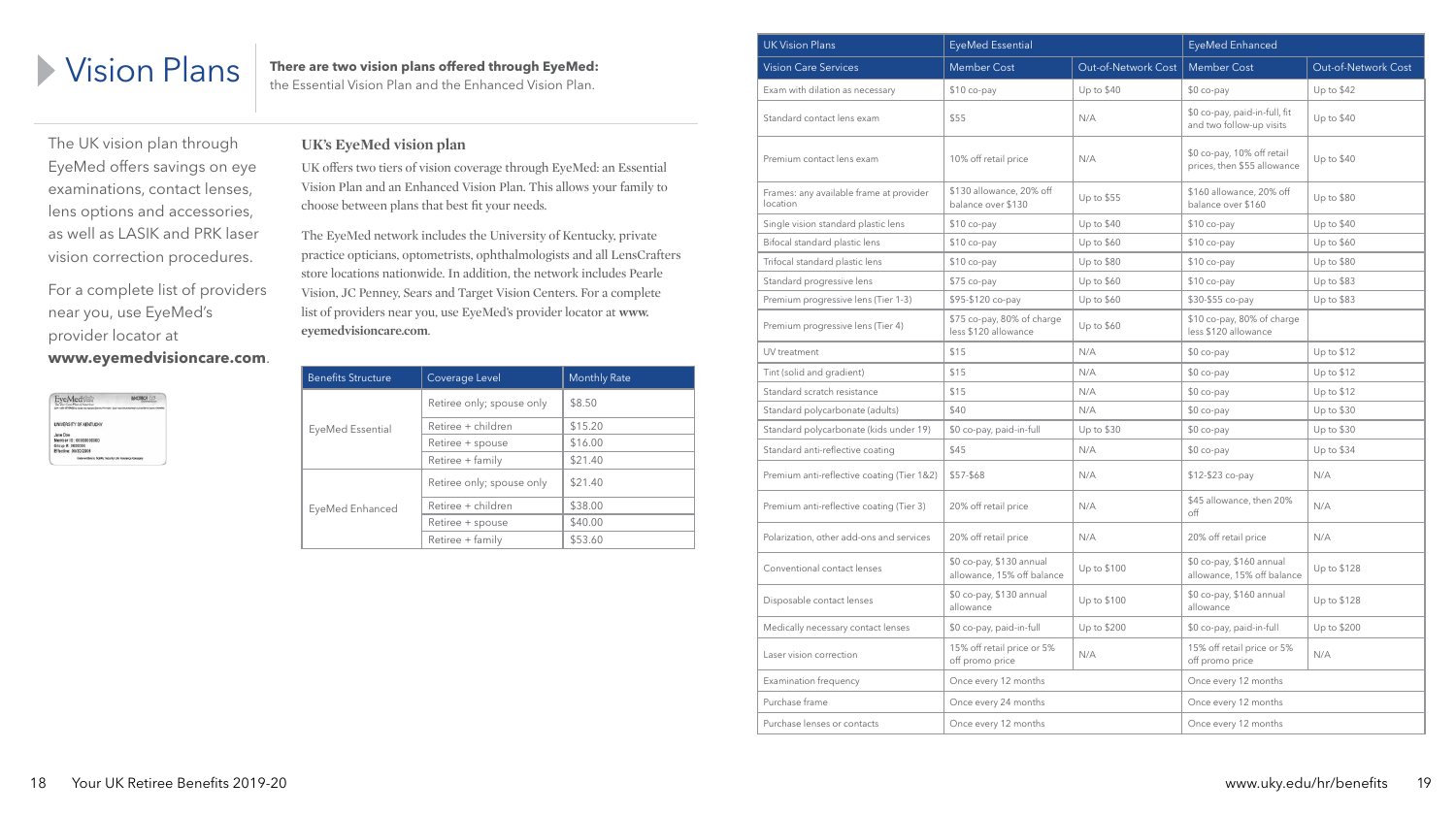

the Essential Vision Plan and the Enhanced Vision Plan.

The UK vision plan through EyeMed offers savings on eye examinations, contact lenses, lens options and accessories, as well as LASIK and PRK laser vision correction procedures.

For a complete list of providers near you, use EyeMed's provider locator at **www.eyemedvisioncare.com**.

| EveMed<br><b>Cor Cant Plan of America</b>      |                                                       |
|------------------------------------------------|-------------------------------------------------------|
|                                                |                                                       |
| UNIVERSITY OF KENTUCKY<br>5. 이들은 2010년 12월 21일 |                                                       |
| Jane Doe                                       |                                                       |
| Member ID: 00000000000                         |                                                       |
| Group #: 0000000                               |                                                       |
| Effective: 09/30/2006                          |                                                       |
|                                                | Underwitten by Fidelity Security 1.8e Intersece Compa |

#### **UK's EyeMed vision plan**

UK offers two tiers of vision coverage through EyeMed: an Essential Vision Plan and an Enhanced Vision Plan. This allows your family to choose between plans that best fit your needs.

The EyeMed network includes the University of Kentucky, private practice opticians, optometrists, ophthalmologists and all LensCrafters store locations nationwide. In addition, the network includes Pearle Vision, JC Penney, Sears and Target Vision Centers. For a complete list of providers near you, use EyeMed's provider locator at **www. eyemedvisioncare.com**.

| <b>Benefits Structure</b><br>Coverage Level |                           | <b>Monthly Rate</b> |
|---------------------------------------------|---------------------------|---------------------|
|                                             | Retiree only; spouse only | \$8.50              |
| EyeMed Essential                            | Retiree + children        | \$15.20             |
|                                             | Retiree + spouse          | \$16.00             |
|                                             | Retiree + family          | \$21.40             |
|                                             | Retiree only; spouse only | \$21.40             |
| EyeMed Enhanced                             | Retiree + children        | \$38.00             |
|                                             | Retiree + spouse          | \$40.00             |
|                                             | Retiree + family          | \$53.60             |

| <b>UK Vision Plans</b>                              | <b>EyeMed Essential</b>                                |                     | EyeMed Enhanced                                           |                     |
|-----------------------------------------------------|--------------------------------------------------------|---------------------|-----------------------------------------------------------|---------------------|
| <b>Vision Care Services</b>                         | <b>Member Cost</b>                                     | Out-of-Network Cost | <b>Member Cost</b>                                        | Out-of-Network Cost |
| Exam with dilation as necessary                     | \$10 co-pay                                            | Up to \$40          | \$0 co-pay                                                | Up to \$42          |
| Standard contact lens exam                          | \$55                                                   | N/A                 | \$0 co-pay, paid-in-full, fit<br>and two follow-up visits | Up to \$40          |
| Premium contact lens exam                           | 10% off retail price                                   | N/A                 | \$0 co-pay, 10% off retail<br>prices, then \$55 allowance | Up to \$40          |
| Frames: any available frame at provider<br>location | \$130 allowance, 20% off<br>balance over \$130         | Up to \$55          | \$160 allowance, 20% off<br>balance over \$160            | Up to \$80          |
| Single vision standard plastic lens                 | $$10 co-pay$                                           | Up to \$40          | $$10 co-pay$                                              | Up to \$40          |
| Bifocal standard plastic lens                       | $$10 co-pay$                                           | Up to \$60          | \$10 co-pay                                               | Up to \$60          |
| Trifocal standard plastic lens                      | $$10 co-pay$                                           | Up to \$80          | \$10 co-pay                                               | Up to \$80          |
| Standard progressive lens                           | \$75 co-pay                                            | Up to \$60          | \$10 co-pay                                               | Up to \$83          |
| Premium progressive lens (Tier 1-3)                 | \$95-\$120 co-pay                                      | Up to \$60          | \$30-\$55 co-pay                                          | Up to \$83          |
| Premium progressive lens (Tier 4)                   | \$75 co-pay, 80% of charge<br>less \$120 allowance     | Up to \$60          | \$10 co-pay, 80% of charge<br>less \$120 allowance        |                     |
| UV treatment                                        | \$15                                                   | N/A                 | \$0 co-pay                                                | Up to \$12          |
| Tint (solid and gradient)                           | \$15                                                   | N/A                 | \$0 co-pay                                                | Up to \$12          |
| Standard scratch resistance                         | \$15                                                   | N/A                 | \$0 co-pay                                                | Up to \$12          |
| Standard polycarbonate (adults)                     | \$40                                                   | N/A                 | \$0 co-pay                                                | Up to \$30          |
| Standard polycarbonate (kids under 19)              | \$0 co-pay, paid-in-full                               | Up to \$30          | \$0 co-pay                                                | Up to \$30          |
| Standard anti-reflective coating                    | \$45                                                   | N/A                 | \$0 co-pay                                                | Up to \$34          |
| Premium anti-reflective coating (Tier 1&2)          | \$57-\$68                                              | N/A                 | \$12-\$23 co-pay                                          | N/A                 |
| Premium anti-reflective coating (Tier 3)            | 20% off retail price                                   | N/A                 | \$45 allowance, then 20%<br>$\circ$ ff                    | N/A                 |
| Polarization, other add-ons and services            | 20% off retail price                                   | N/A                 | 20% off retail price                                      | N/A                 |
| Conventional contact lenses                         | \$0 co-pay, \$130 annual<br>allowance, 15% off balance | Up to \$100         | \$0 co-pay, \$160 annual<br>allowance, 15% off balance    | Up to \$128         |
| Disposable contact lenses                           | \$0 co-pay, \$130 annual<br>allowance                  | Up to \$100         | \$0 co-pay, \$160 annual<br>allowance                     | Up to \$128         |
| Medically necessary contact lenses                  | \$0 co-pay, paid-in-full                               | Up to \$200         | \$0 co-pay, paid-in-full                                  | Up to \$200         |
| Laser vision correction                             | 15% off retail price or 5%<br>off promo price          | N/A                 | 15% off retail price or 5%<br>off promo price             | N/A                 |
| Examination frequency                               | Once every 12 months                                   |                     | Once every 12 months                                      |                     |
| Purchase frame                                      | Once every 24 months                                   |                     | Once every 12 months                                      |                     |
| Purchase lenses or contacts                         | Once every 12 months                                   |                     | Once every 12 months                                      |                     |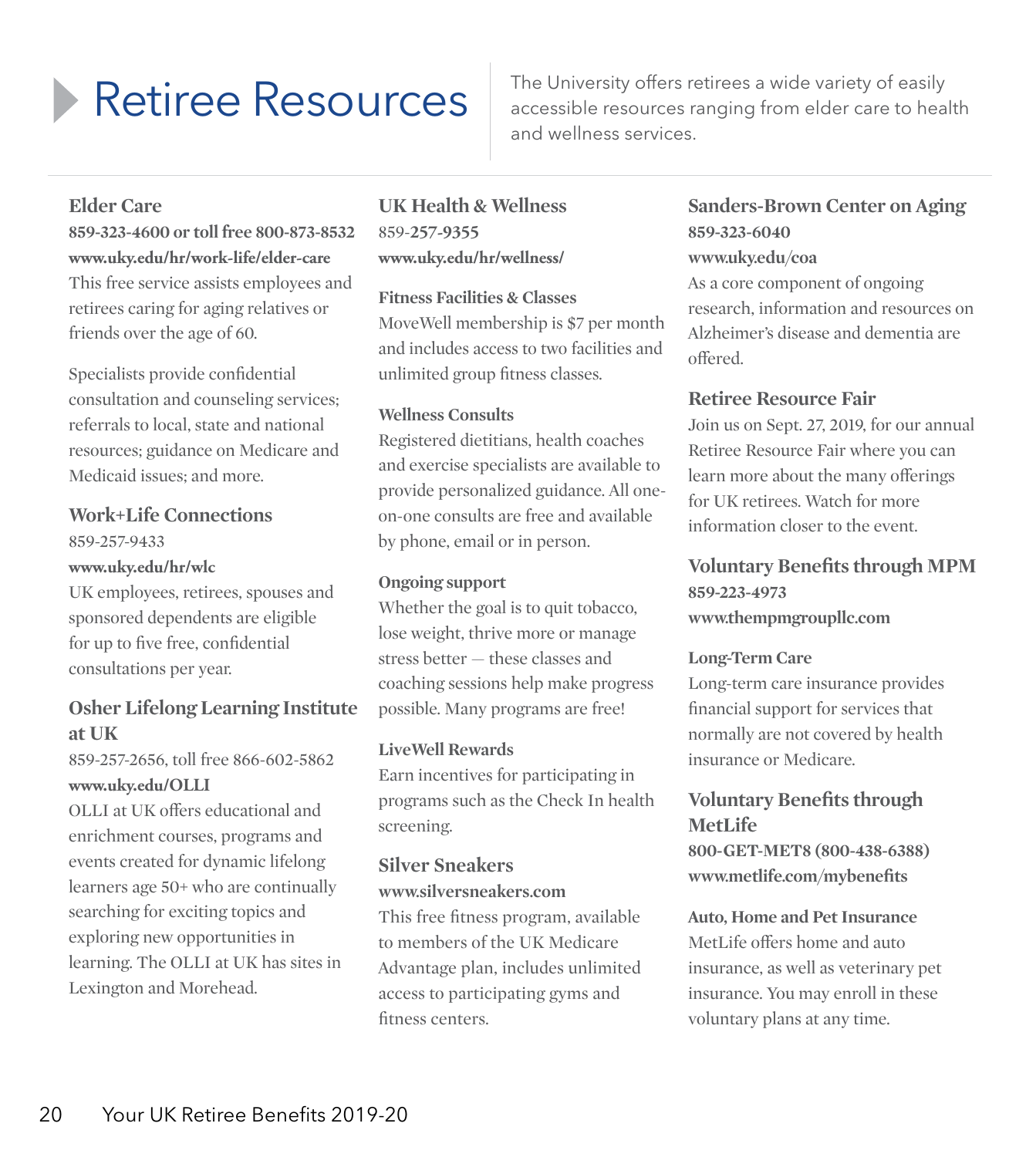Retiree Resources The University offers retirees a wide variety of easily<br>accessible resources ranging from elder care to hea accessible resources ranging from elder care to health and wellness services.

#### **Elder Care**

**859-323-4600 or toll free 800-873-8532 www.uky.edu/hr/work-life/elder-care** This free service assists employees and retirees caring for aging relatives or friends over the age of 60.

Specialists provide confidential consultation and counseling services; referrals to local, state and national resources; guidance on Medicare and Medicaid issues; and more.

#### **Work+Life Connections** 859-257-9433 **www.uky.edu/hr/wlc**

UK employees, retirees, spouses and sponsored dependents are eligible for up to five free, confidential consultations per year.

#### **Osher Lifelong Learning Institute at UK**

859-257-2656, toll free 866-602-5862 **www.uky.edu/OLLI**

OLLI at UK offers educational and enrichment courses, programs and events created for dynamic lifelong learners age 50+ who are continually searching for exciting topics and exploring new opportunities in learning. The OLLI at UK has sites in Lexington and Morehead.

#### **UK Health & Wellness** 859-**257-9355 www.uky.edu/hr/wellness/**

**Fitness Facilities & Classes** MoveWell membership is \$7 per month and includes access to two facilities and unlimited group fitness classes.

#### **Wellness Consults**

Registered dietitians, health coaches and exercise specialists are available to provide personalized guidance. All oneon-one consults are free and available by phone, email or in person.

#### **Ongoing support**

Whether the goal is to quit tobacco, lose weight, thrive more or manage stress better — these classes and coaching sessions help make progress possible. Many programs are free!

#### **LiveWell Rewards**

Earn incentives for participating in programs such as the Check In health screening.

#### **Silver Sneakers www.silversneakers.com**

This free fitness program, available to members of the UK Medicare Advantage plan, includes unlimited access to participating gyms and fitness centers.

# **Sanders-Brown Center on Aging 859-323-6040**

**www.uky.edu/coa**

As a core component of ongoing research, information and resources on Alzheimer's disease and dementia are offered.

#### **Retiree Resource Fair**

Join us on Sept. 27, 2019, for our annual Retiree Resource Fair where you can learn more about the many offerings for UK retirees. Watch for more information closer to the event.

#### **Voluntary Benefits through MPM 859-223-4973 www.thempmgroupllc.com**

#### **Long-Term Care**

Long-term care insurance provides financial support for services that normally are not covered by health insurance or Medicare.

#### **Voluntary Benefits through MetLife**

**800-GET-MET8 (800-438-6388) www.metlife.com/mybenefits**

#### **Auto, Home and Pet Insurance**

MetLife offers home and auto insurance, as well as veterinary pet insurance. You may enroll in these voluntary plans at any time.